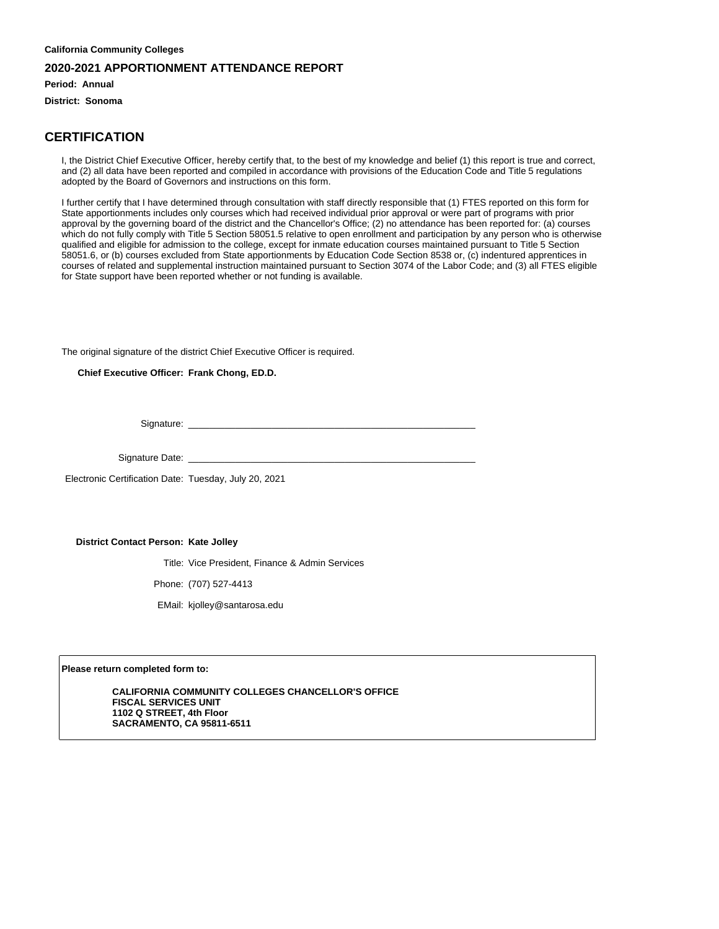**Period: Annual**

**District: Sonoma**

#### **CERTIFICATION**

I, the District Chief Executive Officer, hereby certify that, to the best of my knowledge and belief (1) this report is true and correct, and (2) all data have been reported and compiled in accordance with provisions of the Education Code and Title 5 regulations adopted by the Board of Governors and instructions on this form.

I further certify that I have determined through consultation with staff directly responsible that (1) FTES reported on this form for State apportionments includes only courses which had received individual prior approval or were part of programs with prior approval by the governing board of the district and the Chancellor's Office; (2) no attendance has been reported for: (a) courses which do not fully comply with Title 5 Section 58051.5 relative to open enrollment and participation by any person who is otherwise qualified and eligible for admission to the college, except for inmate education courses maintained pursuant to Title 5 Section 58051.6, or (b) courses excluded from State apportionments by Education Code Section 8538 or, (c) indentured apprentices in courses of related and supplemental instruction maintained pursuant to Section 3074 of the Labor Code; and (3) all FTES eligible for State support have been reported whether or not funding is available.

The original signature of the district Chief Executive Officer is required.

**Chief Executive Officer: Frank Chong, ED.D.**

Signature:

Signature Date: \_

Electronic Certification Date: Tuesday, July 20, 2021

**District Contact Person: Kate Jolley**

Title: Vice President, Finance & Admin Services

Phone: (707) 527-4413

EMail: kjolley@santarosa.edu

**Please return completed form to:**

**CALIFORNIA COMMUNITY COLLEGES CHANCELLOR'S OFFICE FISCAL SERVICES UNIT 1102 Q STREET, 4th Floor SACRAMENTO, CA 95811-6511**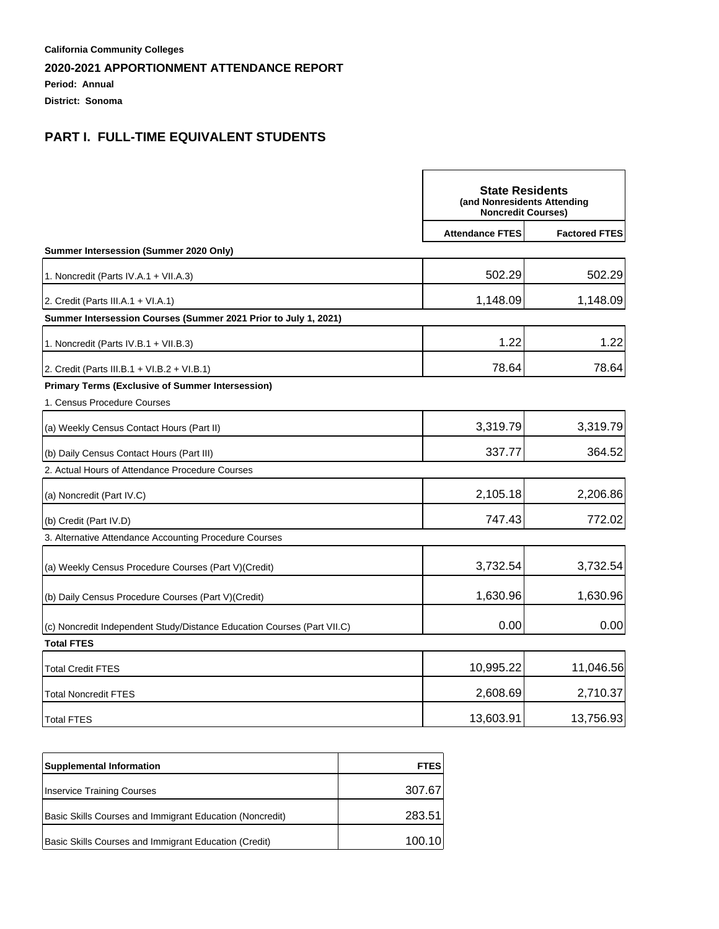**Period: Annual**

**District: Sonoma**

## **PART I. FULL-TIME EQUIVALENT STUDENTS**

|                                                                         | <b>State Residents</b><br>(and Nonresidents Attending<br><b>Noncredit Courses)</b> |                      |
|-------------------------------------------------------------------------|------------------------------------------------------------------------------------|----------------------|
|                                                                         | <b>Attendance FTES</b>                                                             | <b>Factored FTES</b> |
| Summer Intersession (Summer 2020 Only)                                  |                                                                                    |                      |
| 1. Noncredit (Parts IV.A.1 + VII.A.3)                                   | 502.29                                                                             | 502.29               |
| 2. Credit (Parts III.A.1 + VI.A.1)                                      | 1,148.09                                                                           | 1,148.09             |
| Summer Intersession Courses (Summer 2021 Prior to July 1, 2021)         |                                                                                    |                      |
| 1. Noncredit (Parts IV.B.1 + VII.B.3)                                   | 1.22                                                                               | 1.22                 |
| 2. Credit (Parts III.B.1 + VI.B.2 + VI.B.1)                             | 78.64                                                                              | 78.64                |
| <b>Primary Terms (Exclusive of Summer Intersession)</b>                 |                                                                                    |                      |
| 1. Census Procedure Courses                                             |                                                                                    |                      |
| (a) Weekly Census Contact Hours (Part II)                               | 3,319.79                                                                           | 3,319.79             |
| (b) Daily Census Contact Hours (Part III)                               | 337.77                                                                             | 364.52               |
| 2. Actual Hours of Attendance Procedure Courses                         |                                                                                    |                      |
| (a) Noncredit (Part IV.C)                                               | 2,105.18                                                                           | 2,206.86             |
| (b) Credit (Part IV.D)                                                  | 747.43                                                                             | 772.02               |
| 3. Alternative Attendance Accounting Procedure Courses                  |                                                                                    |                      |
| (a) Weekly Census Procedure Courses (Part V) (Credit)                   | 3,732.54                                                                           | 3,732.54             |
| (b) Daily Census Procedure Courses (Part V) (Credit)                    | 1,630.96                                                                           | 1,630.96             |
| (c) Noncredit Independent Study/Distance Education Courses (Part VII.C) | 0.00                                                                               | 0.00                 |
| <b>Total FTES</b>                                                       |                                                                                    |                      |
| <b>Total Credit FTES</b>                                                | 10,995.22                                                                          | 11,046.56            |
| <b>Total Noncredit FTES</b>                                             | 2,608.69                                                                           | 2,710.37             |
| <b>Total FTES</b>                                                       | 13,603.91                                                                          | 13,756.93            |

| <b>Supplemental Information</b>                          | <b>FTES</b> |
|----------------------------------------------------------|-------------|
| Inservice Training Courses                               | 307.67      |
| Basic Skills Courses and Immigrant Education (Noncredit) | 283.51      |
| Basic Skills Courses and Immigrant Education (Credit)    | 100.10      |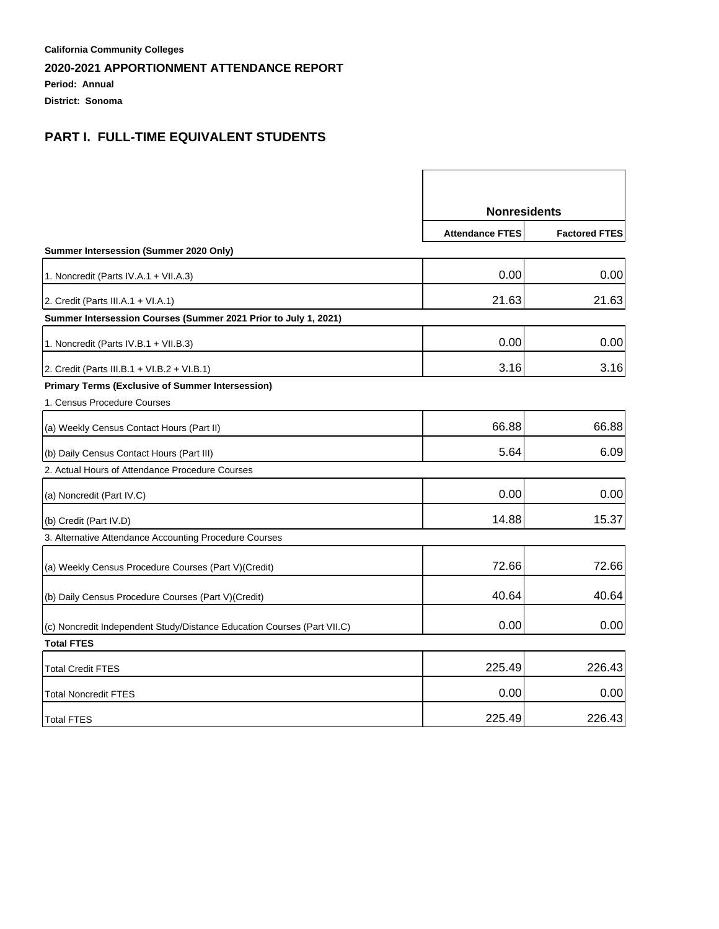**Period: Annual**

**District: Sonoma**

## **PART I. FULL-TIME EQUIVALENT STUDENTS**

|                                                                         | <b>Nonresidents</b>    |                      |
|-------------------------------------------------------------------------|------------------------|----------------------|
|                                                                         | <b>Attendance FTES</b> | <b>Factored FTES</b> |
| Summer Intersession (Summer 2020 Only)                                  |                        |                      |
| 1. Noncredit (Parts IV.A.1 + VII.A.3)                                   | 0.00                   | 0.00                 |
| 2. Credit (Parts III.A.1 + VI.A.1)                                      | 21.63                  | 21.63                |
| Summer Intersession Courses (Summer 2021 Prior to July 1, 2021)         |                        |                      |
| 1. Noncredit (Parts IV.B.1 + VII.B.3)                                   | 0.00                   | 0.00                 |
| 2. Credit (Parts III.B.1 + VI.B.2 + VI.B.1)                             | 3.16                   | 3.16                 |
| <b>Primary Terms (Exclusive of Summer Intersession)</b>                 |                        |                      |
| 1. Census Procedure Courses                                             |                        |                      |
| (a) Weekly Census Contact Hours (Part II)                               | 66.88                  | 66.88                |
| (b) Daily Census Contact Hours (Part III)                               | 5.64                   | 6.09                 |
| 2. Actual Hours of Attendance Procedure Courses                         |                        |                      |
| (a) Noncredit (Part IV.C)                                               | 0.00                   | 0.00                 |
| (b) Credit (Part IV.D)                                                  | 14.88                  | 15.37                |
| 3. Alternative Attendance Accounting Procedure Courses                  |                        |                      |
| (a) Weekly Census Procedure Courses (Part V)(Credit)                    | 72.66                  | 72.66                |
| (b) Daily Census Procedure Courses (Part V) (Credit)                    | 40.64                  | 40.64                |
| (c) Noncredit Independent Study/Distance Education Courses (Part VII.C) | 0.00                   | 0.00                 |
| <b>Total FTES</b>                                                       |                        |                      |
| <b>Total Credit FTES</b>                                                | 225.49                 | 226.43               |
| <b>Total Noncredit FTES</b>                                             | 0.00                   | 0.00                 |
| <b>Total FTES</b>                                                       | 225.49                 | 226.43               |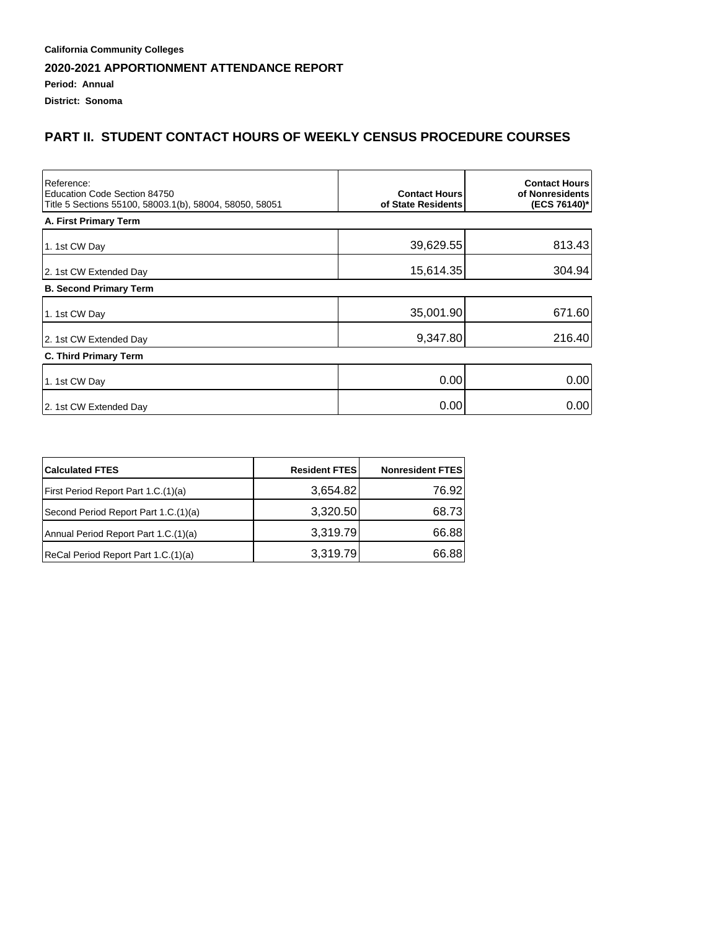**District: Sonoma**

## **PART II. STUDENT CONTACT HOURS OF WEEKLY CENSUS PROCEDURE COURSES**

| Reference:<br>Education Code Section 84750<br>Title 5 Sections 55100, 58003.1(b), 58004, 58050, 58051 | <b>Contact Hours</b><br>of State Residents | <b>Contact Hours</b><br>of Nonresidents<br>(ECS 76140)* |
|-------------------------------------------------------------------------------------------------------|--------------------------------------------|---------------------------------------------------------|
| A. First Primary Term                                                                                 |                                            |                                                         |
| 1. 1st CW Day                                                                                         | 39,629.55                                  | 813.43                                                  |
| 2. 1st CW Extended Day                                                                                | 15,614.35                                  | 304.94                                                  |
| <b>B. Second Primary Term</b>                                                                         |                                            |                                                         |
| 1. 1st CW Day                                                                                         | 35,001.90                                  | 671.60                                                  |
| 2. 1st CW Extended Day                                                                                | 9,347.80                                   | 216.40                                                  |
| <b>C. Third Primary Term</b>                                                                          |                                            |                                                         |
| 1. 1st CW Day                                                                                         | 0.00                                       | 0.00                                                    |
| 2. 1st CW Extended Day                                                                                | 0.00                                       | 0.00                                                    |

| <b>Calculated FTES</b>               | <b>Resident FTES</b> | <b>Nonresident FTES</b> |
|--------------------------------------|----------------------|-------------------------|
| First Period Report Part 1.C.(1)(a)  | 3,654.82             | 76.92                   |
| Second Period Report Part 1.C.(1)(a) | 3,320.50             | 68.73                   |
| Annual Period Report Part 1.C.(1)(a) | 3,319.79             | 66.88                   |
| ReCal Period Report Part 1.C.(1)(a)  | 3,319.79             | 66.88                   |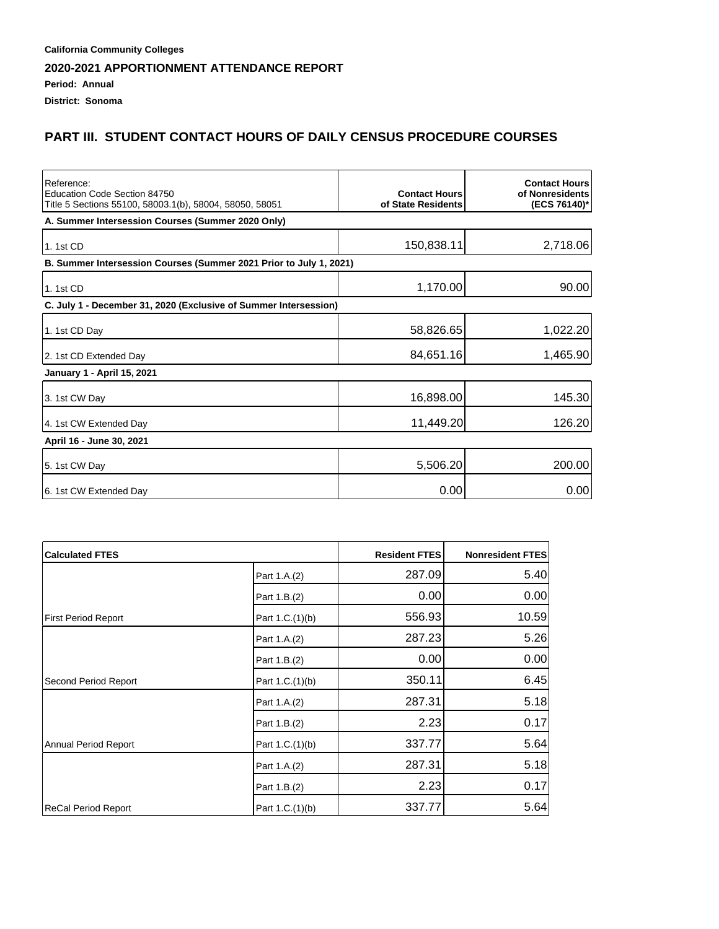# **Period: Annual**

**District: Sonoma**

## **PART III. STUDENT CONTACT HOURS OF DAILY CENSUS PROCEDURE COURSES**

| Reference:<br>Education Code Section 84750<br>Title 5 Sections 55100, 58003.1(b), 58004, 58050, 58051 | <b>Contact Hours</b><br>of State Residents | <b>Contact Hours</b><br>of Nonresidents<br>(ECS 76140)* |
|-------------------------------------------------------------------------------------------------------|--------------------------------------------|---------------------------------------------------------|
| A. Summer Intersession Courses (Summer 2020 Only)                                                     |                                            |                                                         |
| 1. 1st CD                                                                                             | 150,838.11                                 | 2,718.06                                                |
| B. Summer Intersession Courses (Summer 2021 Prior to July 1, 2021)                                    |                                            |                                                         |
| 1. 1st CD                                                                                             | 1,170.00                                   | 90.00                                                   |
| C. July 1 - December 31, 2020 (Exclusive of Summer Intersession)                                      |                                            |                                                         |
| 1. 1st CD Day                                                                                         | 58,826.65                                  | 1,022.20                                                |
| 2. 1st CD Extended Day                                                                                | 84,651.16                                  | 1,465.90                                                |
| <b>January 1 - April 15, 2021</b>                                                                     |                                            |                                                         |
| 3. 1st CW Day                                                                                         | 16,898.00                                  | 145.30                                                  |
| 4. 1st CW Extended Day                                                                                | 11,449.20                                  | 126.20                                                  |
| April 16 - June 30, 2021                                                                              |                                            |                                                         |
| 5. 1st CW Day                                                                                         | 5,506.20                                   | 200.00                                                  |
| 6. 1st CW Extended Day                                                                                | 0.00                                       | 0.00                                                    |

| <b>Calculated FTES</b>     |                 | <b>Resident FTES</b> | Nonresident FTES |
|----------------------------|-----------------|----------------------|------------------|
|                            | Part 1.A.(2)    | 287.09               | 5.40             |
|                            | Part 1.B.(2)    | 0.00                 | 0.00             |
| <b>First Period Report</b> | Part 1.C.(1)(b) | 556.93               | 10.59            |
|                            | Part 1.A.(2)    | 287.23               | 5.26             |
|                            | Part 1.B.(2)    | 0.00                 | 0.00             |
| Second Period Report       | Part 1.C.(1)(b) | 350.11               | 6.45             |
|                            | Part 1.A.(2)    | 287.31               | 5.18             |
|                            | Part 1.B.(2)    | 2.23                 | 0.17             |
| Annual Period Report       | Part 1.C.(1)(b) | 337.77               | 5.64             |
|                            | Part 1.A.(2)    | 287.31               | 5.18             |
|                            | Part 1.B.(2)    | 2.23                 | 0.17             |
| ReCal Period Report        | Part 1.C.(1)(b) | 337.77               | 5.64             |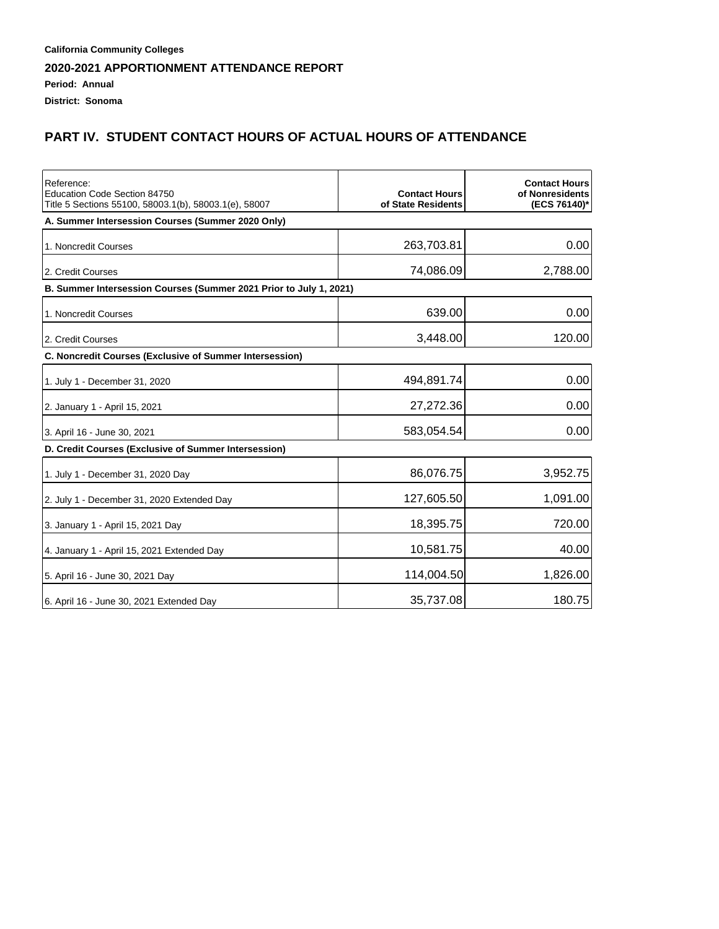## **PART IV. STUDENT CONTACT HOURS OF ACTUAL HOURS OF ATTENDANCE**

| Reference:<br>Education Code Section 84750<br>Title 5 Sections 55100, 58003.1(b), 58003.1(e), 58007 | <b>Contact Hours</b><br>of State Residents | <b>Contact Hours</b><br>of Nonresidents<br>(ECS 76140)* |
|-----------------------------------------------------------------------------------------------------|--------------------------------------------|---------------------------------------------------------|
| A. Summer Intersession Courses (Summer 2020 Only)                                                   |                                            |                                                         |
| 1. Noncredit Courses                                                                                | 263,703.81                                 | 0.00                                                    |
| 2. Credit Courses                                                                                   | 74,086.09                                  | 2,788.00                                                |
| B. Summer Intersession Courses (Summer 2021 Prior to July 1, 2021)                                  |                                            |                                                         |
| 1. Noncredit Courses                                                                                | 639.00                                     | 0.00                                                    |
| 2. Credit Courses                                                                                   | 3,448.00                                   | 120.00                                                  |
| <b>C. Noncredit Courses (Exclusive of Summer Intersession)</b>                                      |                                            |                                                         |
| 1. July 1 - December 31, 2020                                                                       | 494,891.74                                 | 0.00                                                    |
| 2. January 1 - April 15, 2021                                                                       | 27,272.36                                  | 0.00                                                    |
| 3. April 16 - June 30, 2021                                                                         | 583,054.54                                 | 0.00                                                    |
| D. Credit Courses (Exclusive of Summer Intersession)                                                |                                            |                                                         |
| 1. July 1 - December 31, 2020 Day                                                                   | 86,076.75                                  | 3,952.75                                                |
| 2. July 1 - December 31, 2020 Extended Day                                                          | 127,605.50                                 | 1,091.00                                                |
| 3. January 1 - April 15, 2021 Day                                                                   | 18,395.75                                  | 720.00                                                  |
| 4. January 1 - April 15, 2021 Extended Day                                                          | 10,581.75                                  | 40.00                                                   |
| 5. April 16 - June 30, 2021 Day                                                                     | 114,004.50                                 | 1,826.00                                                |
| 6. April 16 - June 30, 2021 Extended Day                                                            | 35,737.08                                  | 180.75                                                  |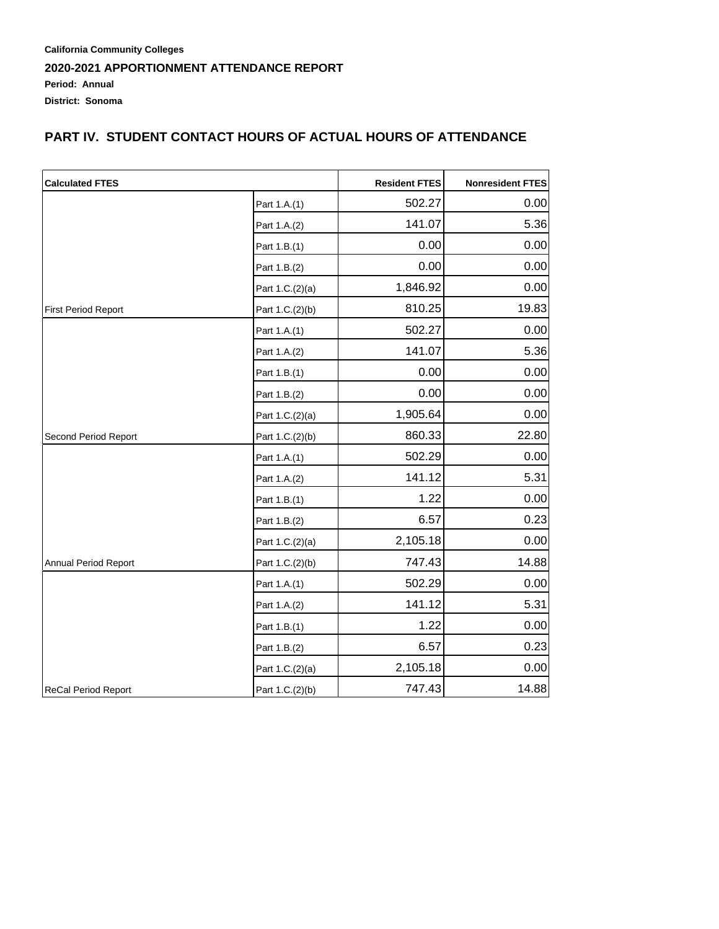**California Community Colleges 2020-2021 APPORTIONMENT ATTENDANCE REPORT Period: Annual District: Sonoma**

## **PART IV. STUDENT CONTACT HOURS OF ACTUAL HOURS OF ATTENDANCE**

| <b>Calculated FTES</b>     |                 | <b>Resident FTES</b> | <b>Nonresident FTES</b> |
|----------------------------|-----------------|----------------------|-------------------------|
|                            | Part 1.A.(1)    | 502.27               | 0.00                    |
|                            | Part 1.A.(2)    | 141.07               | 5.36                    |
|                            | Part 1.B.(1)    | 0.00                 | 0.00                    |
|                            | Part 1.B.(2)    | 0.00                 | 0.00                    |
|                            | Part 1.C.(2)(a) | 1,846.92             | 0.00                    |
| <b>First Period Report</b> | Part 1.C.(2)(b) | 810.25               | 19.83                   |
|                            | Part 1.A.(1)    | 502.27               | 0.00                    |
|                            | Part 1.A.(2)    | 141.07               | 5.36                    |
|                            | Part 1.B.(1)    | 0.00                 | 0.00                    |
|                            | Part 1.B.(2)    | 0.00                 | 0.00                    |
|                            | Part 1.C.(2)(a) | 1,905.64             | 0.00                    |
| Second Period Report       | Part 1.C.(2)(b) | 860.33               | 22.80                   |
|                            | Part 1.A.(1)    | 502.29               | 0.00                    |
|                            | Part 1.A.(2)    | 141.12               | 5.31                    |
|                            | Part 1.B.(1)    | 1.22                 | 0.00                    |
|                            | Part 1.B.(2)    | 6.57                 | 0.23                    |
|                            | Part 1.C.(2)(a) | 2,105.18             | 0.00                    |
| Annual Period Report       | Part 1.C.(2)(b) | 747.43               | 14.88                   |
|                            | Part 1.A.(1)    | 502.29               | 0.00                    |
|                            | Part 1.A.(2)    | 141.12               | 5.31                    |
|                            | Part 1.B.(1)    | 1.22                 | 0.00                    |
|                            | Part 1.B.(2)    | 6.57                 | 0.23                    |
|                            | Part 1.C.(2)(a) | 2,105.18             | 0.00                    |
| <b>ReCal Period Report</b> | Part 1.C.(2)(b) | 747.43               | 14.88                   |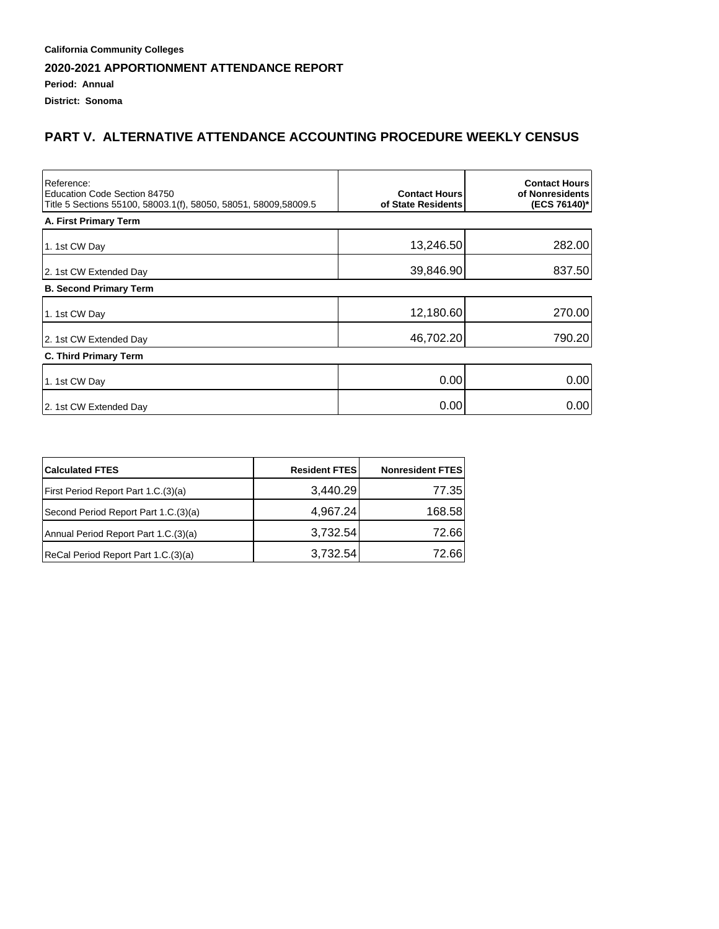**District: Sonoma**

## **PART V. ALTERNATIVE ATTENDANCE ACCOUNTING PROCEDURE WEEKLY CENSUS**

| Reference:<br>Education Code Section 84750<br>Title 5 Sections 55100, 58003.1(f), 58050, 58051, 58009,58009.5 | <b>Contact Hours</b><br>of State Residents | <b>Contact Hours</b><br>of Nonresidents<br>(ECS 76140)* |
|---------------------------------------------------------------------------------------------------------------|--------------------------------------------|---------------------------------------------------------|
| A. First Primary Term                                                                                         |                                            |                                                         |
| 1. 1st CW Day                                                                                                 | 13,246.50                                  | 282.00                                                  |
| 2. 1st CW Extended Day                                                                                        | 39,846.90                                  | 837.50                                                  |
| <b>B. Second Primary Term</b>                                                                                 |                                            |                                                         |
| 1. 1st CW Day                                                                                                 | 12,180.60                                  | 270.00                                                  |
| 2. 1st CW Extended Day                                                                                        | 46,702.20                                  | 790.20                                                  |
| <b>C. Third Primary Term</b>                                                                                  |                                            |                                                         |
| 1. 1st CW Day                                                                                                 | 0.00                                       | 0.00                                                    |
| 2. 1st CW Extended Day                                                                                        | 0.00                                       | 0.00                                                    |

| <b>Calculated FTES</b>               | <b>Resident FTES</b> | <b>Nonresident FTES</b> |
|--------------------------------------|----------------------|-------------------------|
| First Period Report Part 1.C.(3)(a)  | 3,440.29             | 77.35                   |
| Second Period Report Part 1.C.(3)(a) | 4,967.24             | 168.58                  |
| Annual Period Report Part 1.C.(3)(a) | 3,732.54             | 72.66                   |
| ReCal Period Report Part 1.C.(3)(a)  | 3,732.54             | 72.66                   |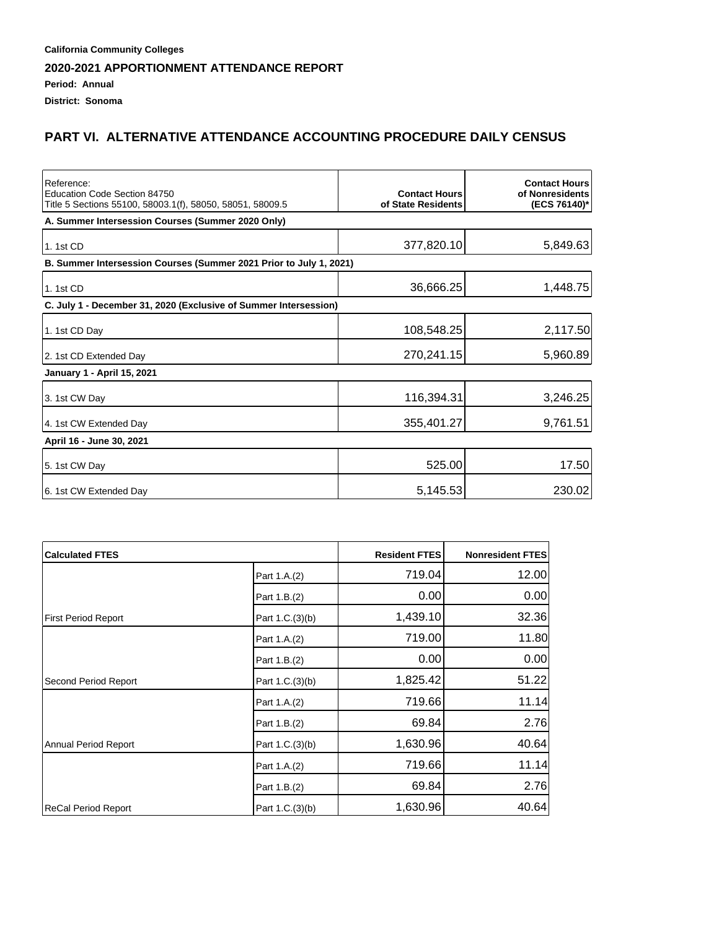#### **Period: Annual**

**District: Sonoma**

## **PART VI. ALTERNATIVE ATTENDANCE ACCOUNTING PROCEDURE DAILY CENSUS**

| Reference:<br>Education Code Section 84750<br>Title 5 Sections 55100, 58003.1(f), 58050, 58051, 58009.5 | <b>Contact Hours</b><br>of State Residents | <b>Contact Hours</b><br>of Nonresidents<br>(ECS 76140)* |
|---------------------------------------------------------------------------------------------------------|--------------------------------------------|---------------------------------------------------------|
| A. Summer Intersession Courses (Summer 2020 Only)                                                       |                                            |                                                         |
| 1.1st CD                                                                                                | 377,820.10                                 | 5,849.63                                                |
| B. Summer Intersession Courses (Summer 2021 Prior to July 1, 2021)                                      |                                            |                                                         |
| 1.1st CD                                                                                                | 36,666.25                                  | 1,448.75                                                |
| C. July 1 - December 31, 2020 (Exclusive of Summer Intersession)                                        |                                            |                                                         |
| 1. 1st CD Day                                                                                           | 108,548.25                                 | 2,117.50                                                |
| 2. 1st CD Extended Day                                                                                  | 270,241.15                                 | 5,960.89                                                |
| January 1 - April 15, 2021                                                                              |                                            |                                                         |
| 3. 1st CW Day                                                                                           | 116,394.31                                 | 3,246.25                                                |
| 4. 1st CW Extended Day                                                                                  | 355,401.27                                 | 9,761.51                                                |
| April 16 - June 30, 2021                                                                                |                                            |                                                         |
| 5. 1st CW Day                                                                                           | 525.00                                     | 17.50                                                   |
| 6. 1st CW Extended Day                                                                                  | 5,145.53                                   | 230.02                                                  |

| <b>Calculated FTES</b>     |                 | <b>Resident FTES</b> | <b>Nonresident FTES</b> |
|----------------------------|-----------------|----------------------|-------------------------|
|                            | Part 1.A.(2)    | 719.04               | 12.00                   |
|                            | Part 1.B.(2)    | 0.00                 | 0.00                    |
| <b>First Period Report</b> | Part 1.C.(3)(b) | 1,439.10             | 32.36                   |
|                            | Part 1.A.(2)    | 719.00               | 11.80                   |
|                            | Part 1.B.(2)    | 0.00                 | 0.00                    |
| Second Period Report       | Part 1.C.(3)(b) | 1,825.42             | 51.22                   |
|                            | Part 1.A.(2)    | 719.66               | 11.14                   |
|                            | Part 1.B.(2)    | 69.84                | 2.76                    |
| Annual Period Report       | Part 1.C.(3)(b) | 1,630.96             | 40.64                   |
|                            | Part 1.A.(2)    | 719.66               | 11.14                   |
|                            | Part 1.B.(2)    | 69.84                | 2.76                    |
| ReCal Period Report        | Part 1.C.(3)(b) | 1,630.96             | 40.64                   |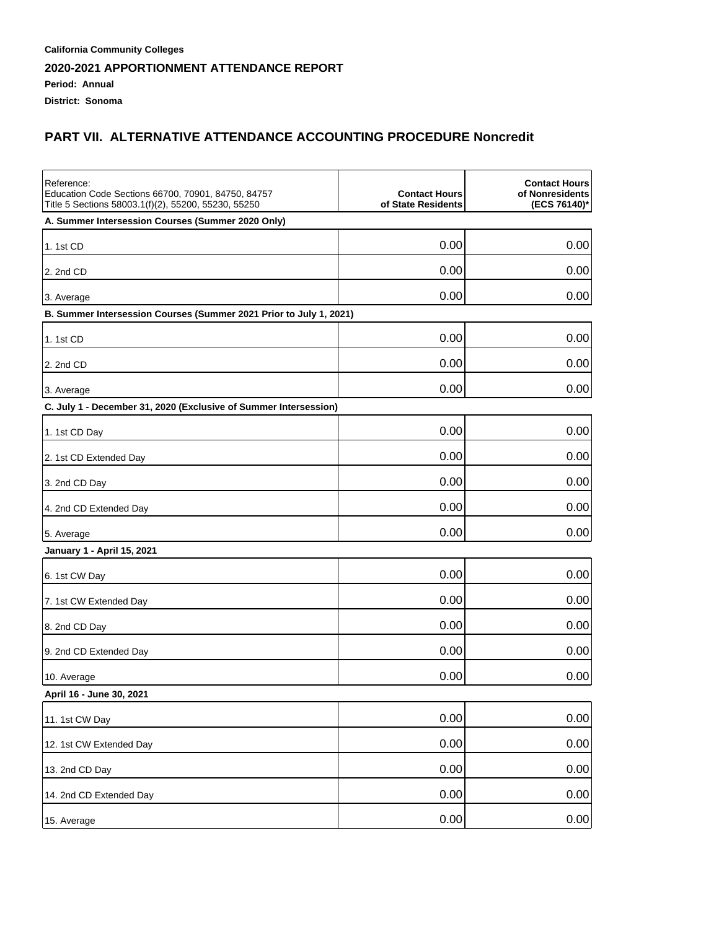#### **Period: Annual**

**District: Sonoma**

## **PART VII. ALTERNATIVE ATTENDANCE ACCOUNTING PROCEDURE Noncredit**

| Reference:<br>Education Code Sections 66700, 70901, 84750, 84757<br>Title 5 Sections 58003.1(f)(2), 55200, 55230, 55250 | <b>Contact Hours</b><br>of State Residents | <b>Contact Hours</b><br>of Nonresidents<br>(ECS 76140)* |
|-------------------------------------------------------------------------------------------------------------------------|--------------------------------------------|---------------------------------------------------------|
| A. Summer Intersession Courses (Summer 2020 Only)                                                                       |                                            |                                                         |
| 1. 1st CD                                                                                                               | 0.00                                       | 0.00                                                    |
| 2. 2nd CD                                                                                                               | 0.00                                       | 0.00                                                    |
| 3. Average                                                                                                              | 0.00                                       | 0.00                                                    |
| B. Summer Intersession Courses (Summer 2021 Prior to July 1, 2021)                                                      |                                            |                                                         |
| 1. 1st CD                                                                                                               | 0.00                                       | 0.00                                                    |
| 2. 2nd CD                                                                                                               | 0.00                                       | 0.00                                                    |
| 3. Average                                                                                                              | 0.00                                       | 0.00                                                    |
| C. July 1 - December 31, 2020 (Exclusive of Summer Intersession)                                                        |                                            |                                                         |
| 1. 1st CD Day                                                                                                           | 0.00                                       | 0.00                                                    |
| 2. 1st CD Extended Day                                                                                                  | 0.00                                       | 0.00                                                    |
| 3. 2nd CD Day                                                                                                           | 0.00                                       | 0.00                                                    |
| 4. 2nd CD Extended Day                                                                                                  | 0.00                                       | 0.00                                                    |
| 5. Average                                                                                                              | 0.00                                       | 0.00                                                    |
| January 1 - April 15, 2021                                                                                              |                                            |                                                         |
| 6. 1st CW Day                                                                                                           | 0.00                                       | 0.00                                                    |
| 7. 1st CW Extended Day                                                                                                  | 0.00                                       | 0.00                                                    |
| 8. 2nd CD Day                                                                                                           | 0.00                                       | 0.00                                                    |
| 9. 2nd CD Extended Day                                                                                                  | 0.00                                       | 0.00                                                    |
| 10. Average                                                                                                             | 0.00                                       | 0.00                                                    |
| April 16 - June 30, 2021                                                                                                |                                            |                                                         |
| 11. 1st CW Day                                                                                                          | 0.00                                       | 0.00                                                    |
| 12. 1st CW Extended Day                                                                                                 | 0.00                                       | 0.00                                                    |
| 13. 2nd CD Day                                                                                                          | 0.00                                       | 0.00                                                    |
| 14. 2nd CD Extended Day                                                                                                 | 0.00                                       | 0.00                                                    |
| 15. Average                                                                                                             | 0.00                                       | 0.00                                                    |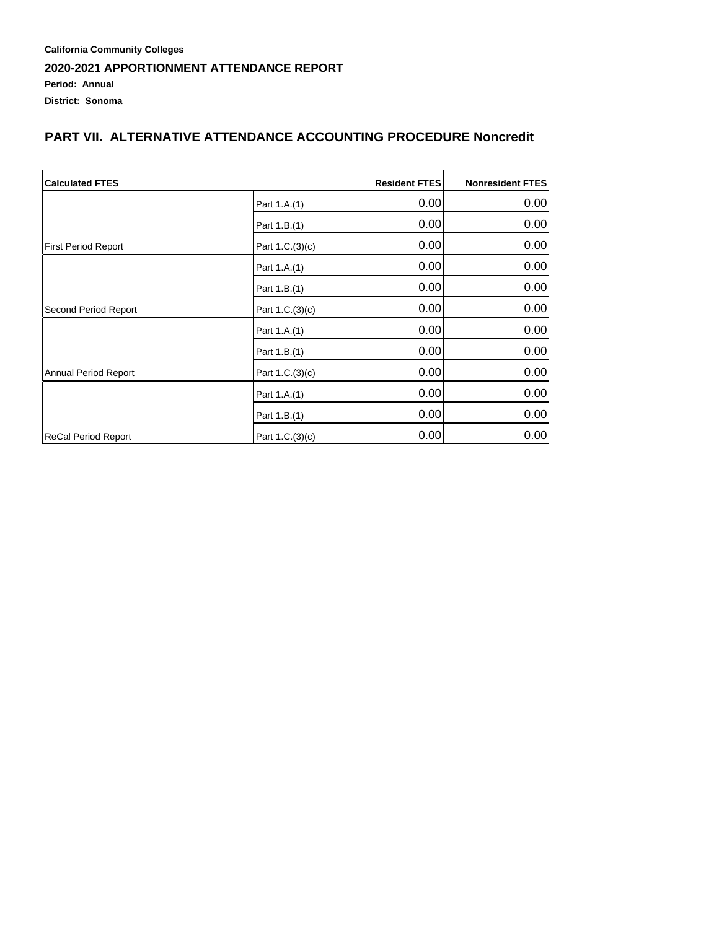#### **California Community Colleges 2020-2021 APPORTIONMENT ATTENDANCE REPORT Period: Annual District: Sonoma**

## **PART VII. ALTERNATIVE ATTENDANCE ACCOUNTING PROCEDURE Noncredit**

| <b>Calculated FTES</b>     | <b>Resident FTES</b> | <b>Nonresident FTES</b> |      |
|----------------------------|----------------------|-------------------------|------|
|                            | Part 1.A.(1)         | 0.00                    | 0.00 |
|                            | Part 1.B.(1)         | 0.00                    | 0.00 |
| <b>First Period Report</b> | Part 1.C.(3)(c)      | 0.00                    | 0.00 |
|                            | Part 1.A.(1)         | 0.00                    | 0.00 |
|                            | Part 1.B.(1)         | 0.00                    | 0.00 |
| Second Period Report       | Part 1.C.(3)(c)      | 0.00                    | 0.00 |
|                            | Part 1.A.(1)         | 0.00                    | 0.00 |
|                            | Part 1.B.(1)         | 0.00                    | 0.00 |
| Annual Period Report       | Part 1.C.(3)(c)      | 0.00                    | 0.00 |
|                            | Part 1.A.(1)         | 0.00                    | 0.00 |
|                            | Part 1.B.(1)         | 0.00                    | 0.00 |
| ReCal Period Report        | Part 1.C.(3)(c)      | 0.00                    | 0.00 |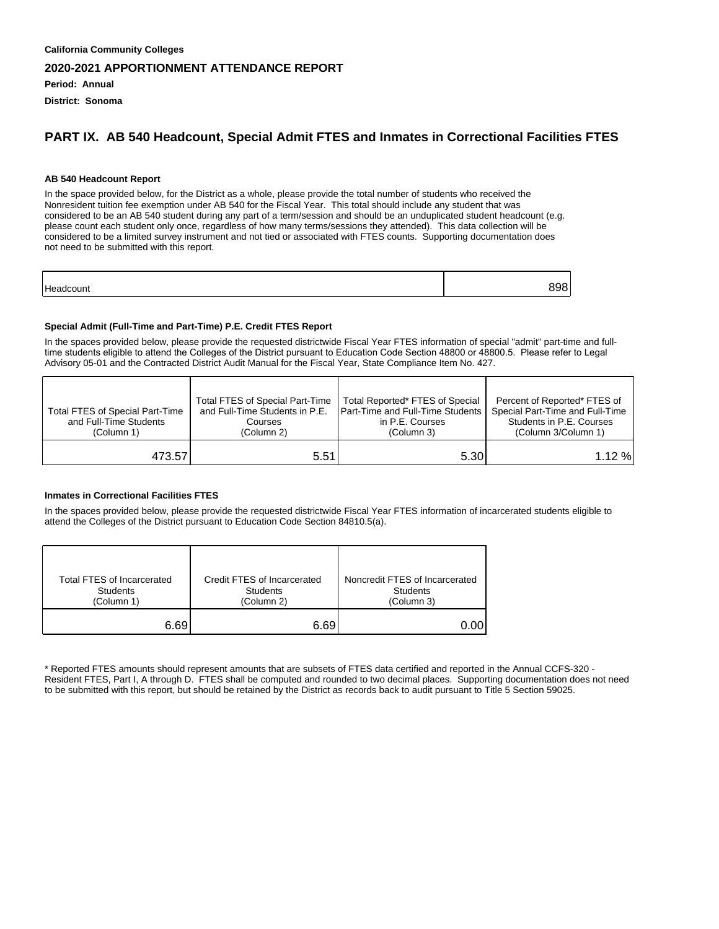**Period: Annual**

**District: Sonoma**

#### **PART IX. AB 540 Headcount, Special Admit FTES and Inmates in Correctional Facilities FTES**

#### **AB 540 Headcount Report**

In the space provided below, for the District as a whole, please provide the total number of students who received the Nonresident tuition fee exemption under AB 540 for the Fiscal Year. This total should include any student that was considered to be an AB 540 student during any part of a term/session and should be an unduplicated student headcount (e.g. please count each student only once, regardless of how many terms/sessions they attended). This data collection will be considered to be a limited survey instrument and not tied or associated with FTES counts. Supporting documentation does not need to be submitted with this report.

| - |  |
|---|--|
|   |  |

#### **Special Admit (Full-Time and Part-Time) P.E. Credit FTES Report**

In the spaces provided below, please provide the requested districtwide Fiscal Year FTES information of special "admit" part-time and fulltime students eligible to attend the Colleges of the District pursuant to Education Code Section 48800 or 48800.5. Please refer to Legal Advisory 05-01 and the Contracted District Audit Manual for the Fiscal Year, State Compliance Item No. 427.

| Total FTES of Special Part-Time<br>and Full-Time Students<br>(Column 1) | Total FTES of Special Part-Time<br>and Full-Time Students in P.E.<br>Courses<br>(Column 2) | Total Reported* FTES of Special<br><b>I Part-Time and Full-Time Students I</b><br>in P.E. Courses<br>(Column 3) | Percent of Reported* FTES of<br>Special Part-Time and Full-Time<br>Students in P.E. Courses<br>(Column 3/Column 1) |
|-------------------------------------------------------------------------|--------------------------------------------------------------------------------------------|-----------------------------------------------------------------------------------------------------------------|--------------------------------------------------------------------------------------------------------------------|
| 473.57                                                                  | 5.51                                                                                       | 5.30I                                                                                                           | 1.12%                                                                                                              |

#### **Inmates in Correctional Facilities FTES**

In the spaces provided below, please provide the requested districtwide Fiscal Year FTES information of incarcerated students eligible to attend the Colleges of the District pursuant to Education Code Section 84810.5(a).

| Total FTES of Incarcerated | Credit FTES of Incarcerated | Noncredit FTES of Incarcerated |
|----------------------------|-----------------------------|--------------------------------|
| <b>Students</b>            | <b>Students</b>             | <b>Students</b>                |
| (Column 1)                 | (Column 2)                  | (Column 3)                     |
| 6.69                       | 6.69                        | 0.00                           |

\* Reported FTES amounts should represent amounts that are subsets of FTES data certified and reported in the Annual CCFS-320 - Resident FTES, Part I, A through D. FTES shall be computed and rounded to two decimal places. Supporting documentation does not need to be submitted with this report, but should be retained by the District as records back to audit pursuant to Title 5 Section 59025.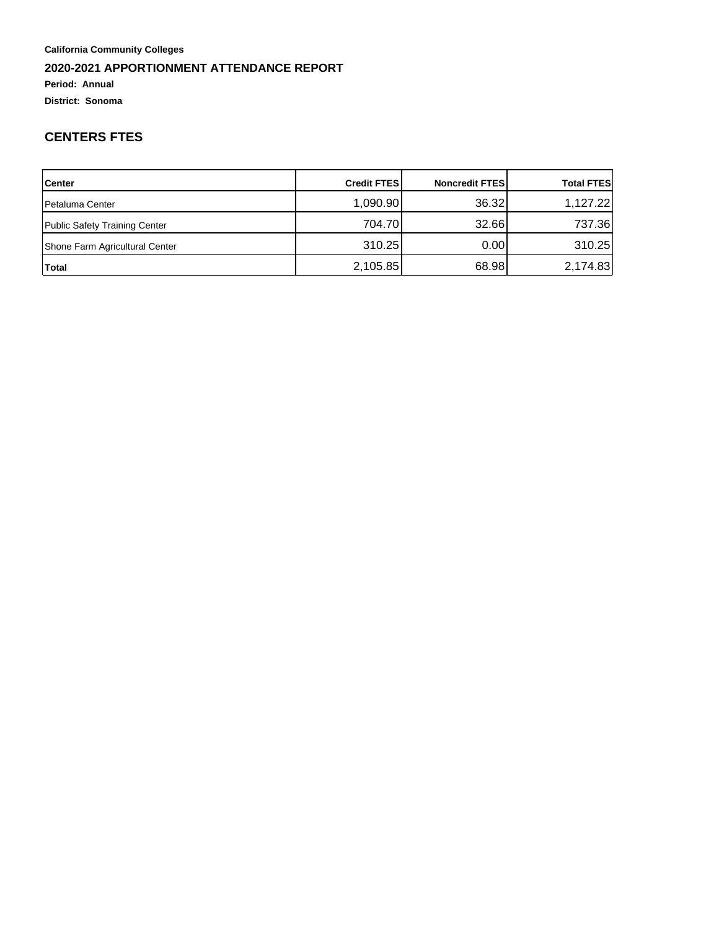**Period: Annual**

**District: Sonoma**

### **CENTERS FTES**

| <b>Center</b>                  | <b>Credit FTESI</b> | <b>Noncredit FTESI</b> | <b>Total FTES</b> |
|--------------------------------|---------------------|------------------------|-------------------|
| <b>Petaluma Center</b>         | 1,090.90            | 36.32                  | 1,127.22          |
| Public Safety Training Center  | 704.70              | 32.66                  | 737.36            |
| Shone Farm Agricultural Center | 310.25              | 0.001                  | 310.25            |
| Total                          | 2,105.85            | 68.98                  | 2,174.83          |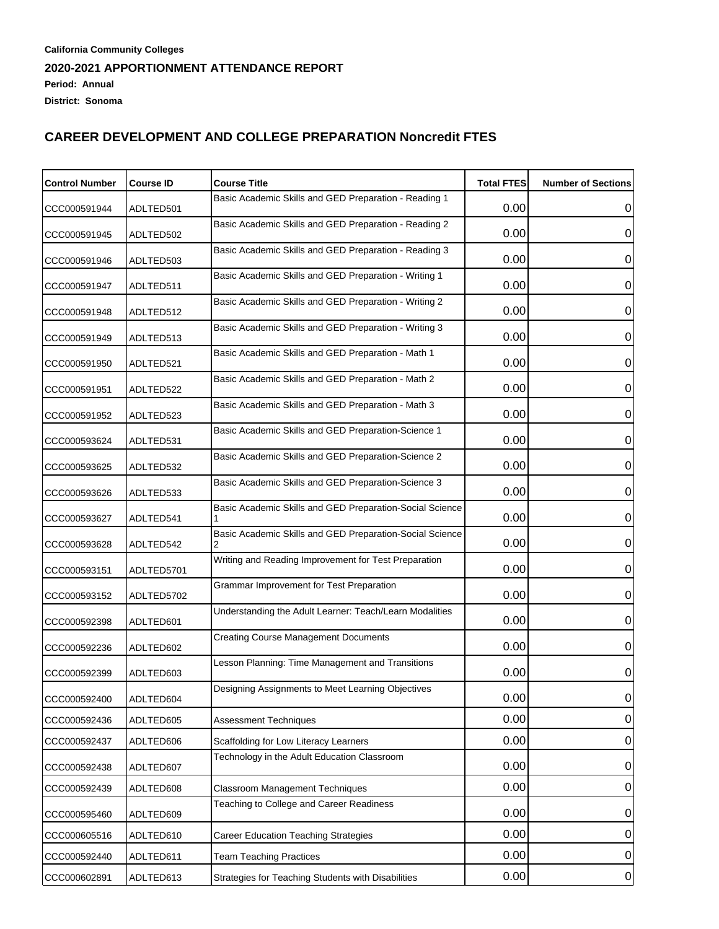| <b>Control Number</b> | <b>Course ID</b> | <b>Course Title</b>                                      | <b>Total FTES</b> | <b>Number of Sections</b> |
|-----------------------|------------------|----------------------------------------------------------|-------------------|---------------------------|
| CCC000591944          | ADLTED501        | Basic Academic Skills and GED Preparation - Reading 1    | 0.00              | 0                         |
| CCC000591945          | ADLTED502        | Basic Academic Skills and GED Preparation - Reading 2    | 0.00              | 0                         |
| CCC000591946          | ADLTED503        | Basic Academic Skills and GED Preparation - Reading 3    | 0.00              | 0                         |
| CCC000591947          | ADLTED511        | Basic Academic Skills and GED Preparation - Writing 1    | 0.00              | 0                         |
| CCC000591948          | ADLTED512        | Basic Academic Skills and GED Preparation - Writing 2    | 0.00              | 0                         |
| CCC000591949          | ADLTED513        | Basic Academic Skills and GED Preparation - Writing 3    | 0.00              | 0                         |
| CCC000591950          | ADLTED521        | Basic Academic Skills and GED Preparation - Math 1       | 0.00              | 0                         |
| CCC000591951          | ADLTED522        | Basic Academic Skills and GED Preparation - Math 2       | 0.00              | 0                         |
| CCC000591952          | ADLTED523        | Basic Academic Skills and GED Preparation - Math 3       | 0.00              | 0                         |
|                       |                  | Basic Academic Skills and GED Preparation-Science 1      | 0.00              | 0                         |
| CCC000593624          | ADLTED531        | Basic Academic Skills and GED Preparation-Science 2      | 0.00              |                           |
| CCC000593625          | ADLTED532        | Basic Academic Skills and GED Preparation-Science 3      |                   | 0                         |
| CCC000593626          | ADLTED533        | Basic Academic Skills and GED Preparation-Social Science | 0.00              | 0                         |
| CCC000593627          | ADLTED541        | Basic Academic Skills and GED Preparation-Social Science | 0.00              | 0                         |
| CCC000593628          | ADLTED542        | Writing and Reading Improvement for Test Preparation     | 0.00              | 0                         |
| CCC000593151          | ADLTED5701       |                                                          | 0.00              | 0                         |
| CCC000593152          | ADLTED5702       | Grammar Improvement for Test Preparation                 | 0.00              | 0                         |
| CCC000592398          | ADLTED601        | Understanding the Adult Learner: Teach/Learn Modalities  | 0.00              | 0                         |
| CCC000592236          | ADLTED602        | <b>Creating Course Management Documents</b>              | 0.00              | 0                         |
| CCC000592399          | ADLTED603        | Lesson Planning: Time Management and Transitions         | 0.00              | 0                         |
| CCC000592400          | ADLTED604        | Designing Assignments to Meet Learning Objectives        | 0.00              | 0                         |
| CCC000592436          | ADLTED605        | Assessment Techniques                                    | 0.00              | 0                         |
| CCC000592437          | ADLTED606        | Scaffolding for Low Literacy Learners                    | 0.00              | $\mathbf 0$               |
| CCC000592438          | ADLTED607        | Technology in the Adult Education Classroom              | 0.00              | 0                         |
| CCC000592439          | ADLTED608        | <b>Classroom Management Techniques</b>                   | 0.00              | $\mathbf 0$               |
| CCC000595460          | ADLTED609        | Teaching to College and Career Readiness                 | 0.00              | 0                         |
| CCC000605516          | ADLTED610        | <b>Career Education Teaching Strategies</b>              | 0.00              | $\mathbf 0$               |
| CCC000592440          | ADLTED611        | <b>Team Teaching Practices</b>                           | 0.00              | $\pmb{0}$                 |
| CCC000602891          | ADLTED613        | Strategies for Teaching Students with Disabilities       | 0.00              | $\,0\,$                   |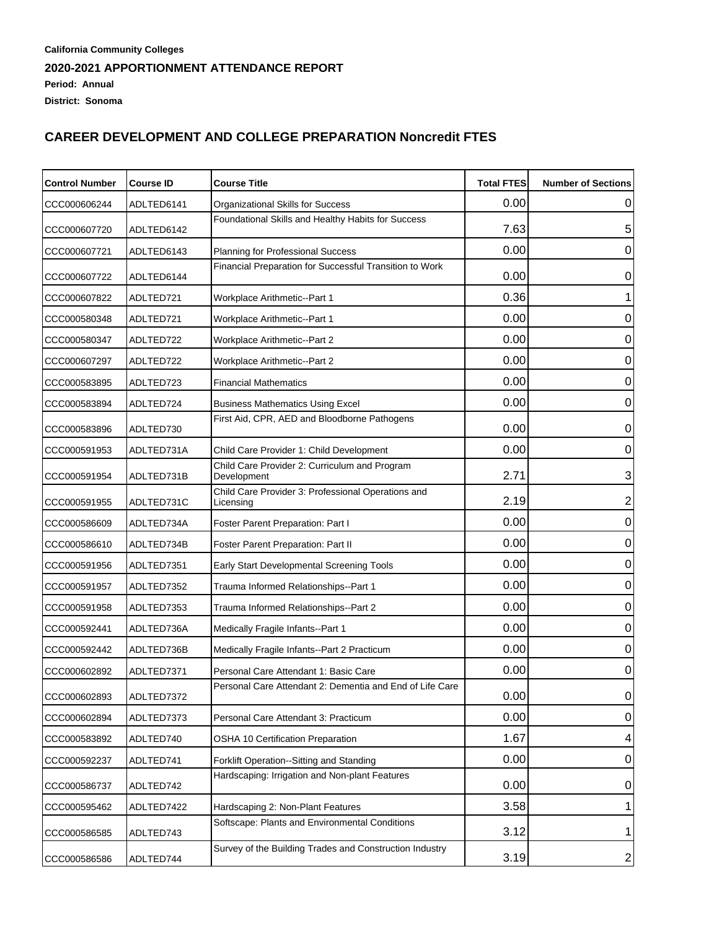#### **California Community Colleges 2020-2021 APPORTIONMENT ATTENDANCE REPORT Period: Annual District: Sonoma**

| <b>Control Number</b> | <b>Course ID</b> | <b>Course Title</b>                                             | <b>Total FTES</b> | <b>Number of Sections</b> |
|-----------------------|------------------|-----------------------------------------------------------------|-------------------|---------------------------|
| CCC000606244          | ADLTED6141       | Organizational Skills for Success                               | 0.00              | 0                         |
| CCC000607720          | ADLTED6142       | Foundational Skills and Healthy Habits for Success              | 7.63              | 5                         |
| CCC000607721          | ADLTED6143       | Planning for Professional Success                               | 0.00              | 0                         |
| CCC000607722          | ADLTED6144       | Financial Preparation for Successful Transition to Work         | 0.00              | 0                         |
| CCC000607822          | ADLTED721        | Workplace Arithmetic--Part 1                                    | 0.36              | 1                         |
| CCC000580348          | ADLTED721        | Workplace Arithmetic--Part 1                                    | 0.00              | 0                         |
| CCC000580347          | ADLTED722        | Workplace Arithmetic--Part 2                                    | 0.00              | 0                         |
| CCC000607297          | ADLTED722        | Workplace Arithmetic--Part 2                                    | 0.00              | 0                         |
| CCC000583895          | ADLTED723        | <b>Financial Mathematics</b>                                    | 0.00              | 0                         |
| CCC000583894          | ADLTED724        | <b>Business Mathematics Using Excel</b>                         | 0.00              | 0                         |
| CCC000583896          | ADLTED730        | First Aid, CPR, AED and Bloodborne Pathogens                    | 0.00              | $\mathbf 0$               |
| CCC000591953          | ADLTED731A       | Child Care Provider 1: Child Development                        | 0.00              | $\mathbf 0$               |
| CCC000591954          | ADLTED731B       | Child Care Provider 2: Curriculum and Program<br>Development    | 2.71              | 3                         |
| CCC000591955          | ADLTED731C       | Child Care Provider 3: Professional Operations and<br>Licensing | 2.19              | 2                         |
| CCC000586609          | ADLTED734A       | Foster Parent Preparation: Part I                               | 0.00              | $\mathbf 0$               |
| CCC000586610          | ADLTED734B       | Foster Parent Preparation: Part II                              | 0.00              | 0                         |
| CCC000591956          | ADLTED7351       | Early Start Developmental Screening Tools                       | 0.00              | 0                         |
| CCC000591957          | ADLTED7352       | Trauma Informed Relationships--Part 1                           | 0.00              | 0                         |
| CCC000591958          | ADLTED7353       | Trauma Informed Relationships--Part 2                           | 0.00              | 0                         |
| CCC000592441          | ADLTED736A       | Medically Fragile Infants--Part 1                               | 0.00              | 0                         |
| CCC000592442          | ADLTED736B       | Medically Fragile Infants--Part 2 Practicum                     | 0.00              | 0                         |
| CCC000602892          | ADLTED7371       | Personal Care Attendant 1: Basic Care                           | 0.00              | 0                         |
| CCC000602893          | ADLTED7372       | Personal Care Attendant 2: Dementia and End of Life Care        | 0.00              | $\overline{0}$            |
| CCC000602894          | ADLTED7373       | Personal Care Attendant 3: Practicum                            | 0.00              | $\overline{0}$            |
| CCC000583892          | ADLTED740        | <b>OSHA 10 Certification Preparation</b>                        | 1.67              | 4                         |
| CCC000592237          | ADLTED741        | Forklift Operation--Sitting and Standing                        | 0.00              | 0                         |
| CCC000586737          | ADLTED742        | Hardscaping: Irrigation and Non-plant Features                  | 0.00              | 0                         |
| CCC000595462          | ADLTED7422       | Hardscaping 2: Non-Plant Features                               | 3.58              | 1                         |
| CCC000586585          | ADLTED743        | Softscape: Plants and Environmental Conditions                  | 3.12              | 1                         |
| CCC000586586          | ADLTED744        | Survey of the Building Trades and Construction Industry         | 3.19              | $\mathbf{2}$              |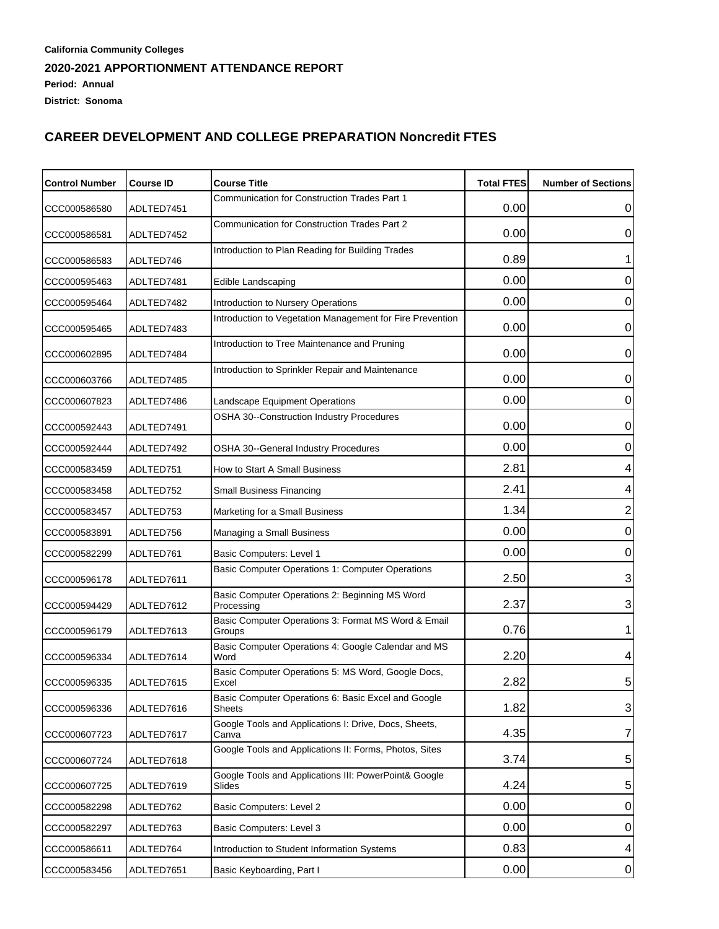| <b>Control Number</b> | <b>Course ID</b> | <b>Course Title</b>                                             | <b>Total FTES</b> | <b>Number of Sections</b> |
|-----------------------|------------------|-----------------------------------------------------------------|-------------------|---------------------------|
| CCC000586580          | ADLTED7451       | Communication for Construction Trades Part 1                    | 0.00              | 0                         |
| CCC000586581          | ADLTED7452       | Communication for Construction Trades Part 2                    | 0.00              | 0                         |
| CCC000586583          | ADLTED746        | Introduction to Plan Reading for Building Trades                | 0.89              |                           |
| CCC000595463          | ADLTED7481       | Edible Landscaping                                              | 0.00              | 0                         |
| CCC000595464          | ADLTED7482       | Introduction to Nursery Operations                              | 0.00              | 0                         |
| CCC000595465          | ADLTED7483       | Introduction to Vegetation Management for Fire Prevention       | 0.00              | 0                         |
| CCC000602895          | ADLTED7484       | Introduction to Tree Maintenance and Pruning                    | 0.00              | $\pmb{0}$                 |
| CCC000603766          | ADLTED7485       | Introduction to Sprinkler Repair and Maintenance                | 0.00              | 0                         |
| CCC000607823          | ADLTED7486       | Landscape Equipment Operations                                  | 0.00              | 0                         |
| CCC000592443          | ADLTED7491       | OSHA 30--Construction Industry Procedures                       | 0.00              | 0                         |
| CCC000592444          | ADLTED7492       | OSHA 30--General Industry Procedures                            | 0.00              | 0                         |
| CCC000583459          | ADLTED751        | How to Start A Small Business                                   | 2.81              | 4                         |
| CCC000583458          | ADLTED752        | Small Business Financing                                        | 2.41              | $\overline{\mathbf{4}}$   |
| CCC000583457          | ADLTED753        | Marketing for a Small Business                                  | 1.34              | $\overline{2}$            |
| CCC000583891          | ADLTED756        | Managing a Small Business                                       | 0.00              | $\boldsymbol{0}$          |
| CCC000582299          | ADLTED761        | Basic Computers: Level 1                                        | 0.00              | 0                         |
| CCC000596178          | ADLTED7611       | Basic Computer Operations 1: Computer Operations                | 2.50              | 3                         |
| CCC000594429          | ADLTED7612       | Basic Computer Operations 2: Beginning MS Word<br>Processing    | 2.37              | 3                         |
| CCC000596179          | ADLTED7613       | Basic Computer Operations 3: Format MS Word & Email<br>Groups   | 0.76              | 1                         |
| CCC000596334          | ADLTED7614       | Basic Computer Operations 4: Google Calendar and MS<br>Word     | 2.20              | 4                         |
| CCC000596335          | ADLTED7615       | Basic Computer Operations 5: MS Word, Google Docs,<br>Excel     | 2.82              | 5                         |
| CCC000596336          | ADLTED7616       | Basic Computer Operations 6: Basic Excel and Google<br>Sheets   | 1.82              | 3                         |
| CCC000607723          | ADLTED7617       | Google Tools and Applications I: Drive, Docs, Sheets,<br>Canva  | 4.35              | $\overline{7}$            |
| CCC000607724          | ADLTED7618       | Google Tools and Applications II: Forms, Photos, Sites          | 3.74              | $\sqrt{5}$                |
| CCC000607725          | ADLTED7619       | Google Tools and Applications III: PowerPoint& Google<br>Slides | 4.24              | 5                         |
| CCC000582298          | ADLTED762        | Basic Computers: Level 2                                        | 0.00              | $\pmb{0}$                 |
| CCC000582297          | ADLTED763        | Basic Computers: Level 3                                        | 0.00              | 0                         |
| CCC000586611          | ADLTED764        | Introduction to Student Information Systems                     | 0.83              | 4                         |
| CCC000583456          | ADLTED7651       | Basic Keyboarding, Part I                                       | 0.00              | 0                         |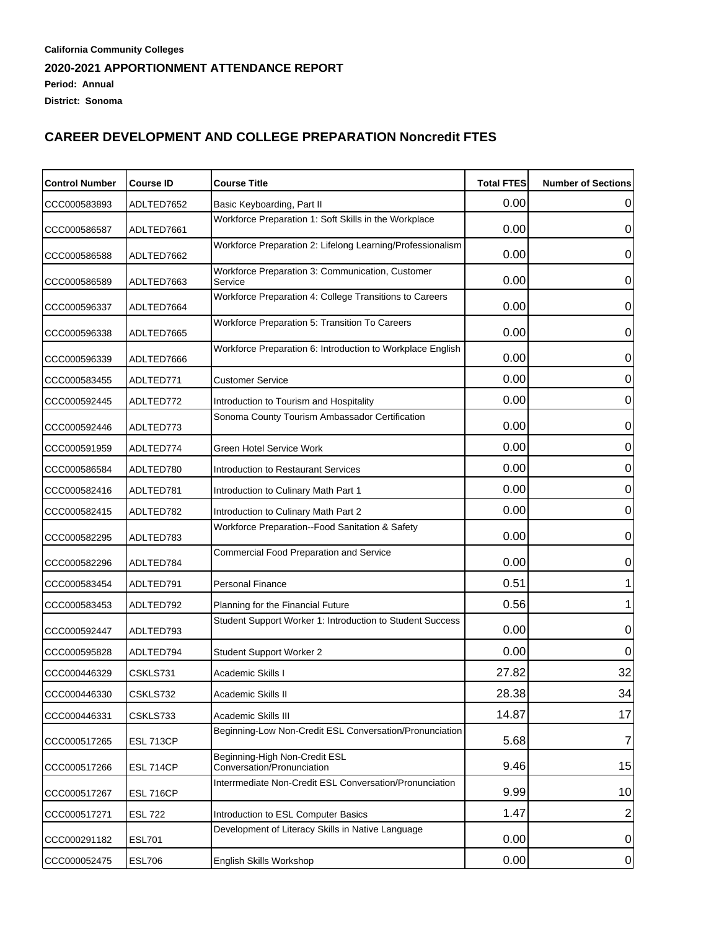| <b>Control Number</b> | <b>Course ID</b> | <b>Course Title</b>                                         | <b>Total FTES</b> | <b>Number of Sections</b> |
|-----------------------|------------------|-------------------------------------------------------------|-------------------|---------------------------|
| CCC000583893          | ADLTED7652       | Basic Keyboarding, Part II                                  | 0.00              | 0                         |
| CCC000586587          | ADLTED7661       | Workforce Preparation 1: Soft Skills in the Workplace       | 0.00              | 0                         |
| CCC000586588          | ADLTED7662       | Workforce Preparation 2: Lifelong Learning/Professionalism  | 0.00              | 0                         |
| CCC000586589          | ADLTED7663       | Workforce Preparation 3: Communication, Customer<br>Service | 0.00              | 0                         |
| CCC000596337          | ADLTED7664       | Workforce Preparation 4: College Transitions to Careers     | 0.00              | 0                         |
| CCC000596338          | ADLTED7665       | Workforce Preparation 5: Transition To Careers              | 0.00              | 0                         |
| CCC000596339          | ADLTED7666       | Workforce Preparation 6: Introduction to Workplace English  | 0.00              | 0                         |
| CCC000583455          | ADLTED771        | Customer Service                                            | 0.00              | 0                         |
| CCC000592445          | ADLTED772        | Introduction to Tourism and Hospitality                     | 0.00              | 0                         |
| CCC000592446          | ADLTED773        | Sonoma County Tourism Ambassador Certification              | 0.00              | 0                         |
| CCC000591959          | ADLTED774        | <b>Green Hotel Service Work</b>                             | 0.00              | 0                         |
| CCC000586584          | ADLTED780        | Introduction to Restaurant Services                         | 0.00              | 0                         |
| CCC000582416          | ADLTED781        | Introduction to Culinary Math Part 1                        | 0.00              | 0                         |
| CCC000582415          | ADLTED782        | Introduction to Culinary Math Part 2                        | 0.00              | 0                         |
| CCC000582295          | ADLTED783        | Workforce Preparation--Food Sanitation & Safety             | 0.00              | 0                         |
| CCC000582296          | ADLTED784        | <b>Commercial Food Preparation and Service</b>              | 0.00              | 0                         |
| CCC000583454          | ADLTED791        | Personal Finance                                            | 0.51              |                           |
| CCC000583453          | ADLTED792        | Planning for the Financial Future                           | 0.56              |                           |
| CCC000592447          | ADLTED793        | Student Support Worker 1: Introduction to Student Success   | 0.00              | 0                         |
| CCC000595828          | ADLTED794        | Student Support Worker 2                                    | 0.00              | 0                         |
| CCC000446329          | CSKLS731         | Academic Skills I                                           | 27.82             | 32                        |
| CCC000446330          | CSKLS732         | Academic Skills II                                          | 28.38             | 34                        |
| CCC000446331          | CSKLS733         | Academic Skills III                                         | 14.87             | 17                        |
| CCC000517265          | <b>ESL 713CP</b> | Beginning-Low Non-Credit ESL Conversation/Pronunciation     | 5.68              | 7                         |
| CCC000517266          | <b>ESL 714CP</b> | Beginning-High Non-Credit ESL<br>Conversation/Pronunciation | 9.46              | 15                        |
| CCC000517267          | <b>ESL 716CP</b> | Interrmediate Non-Credit ESL Conversation/Pronunciation     | 9.99              | 10                        |
| CCC000517271          | <b>ESL 722</b>   | Introduction to ESL Computer Basics                         | 1.47              | 2                         |
| CCC000291182          | <b>ESL701</b>    | Development of Literacy Skills in Native Language           | 0.00              | 0                         |
| CCC000052475          | <b>ESL706</b>    | English Skills Workshop                                     | 0.00              | $\pmb{0}$                 |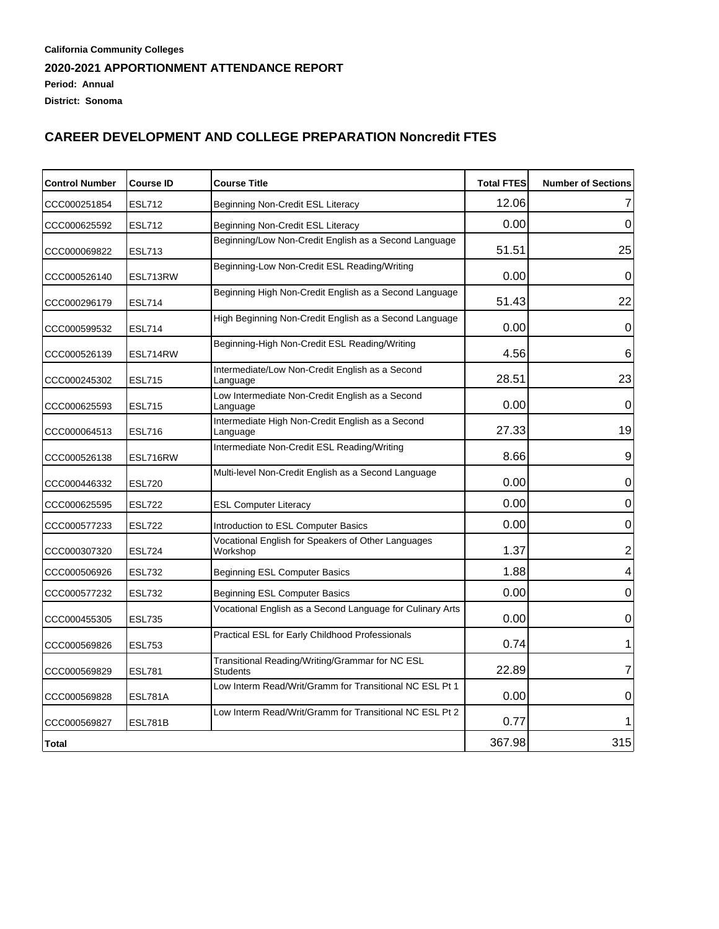#### **California Community Colleges 2020-2021 APPORTIONMENT ATTENDANCE REPORT Period: Annual District: Sonoma**

| <b>Control Number</b> | <b>Course ID</b> | <b>Course Title</b>                                                | <b>Total FTES</b> | <b>Number of Sections</b> |
|-----------------------|------------------|--------------------------------------------------------------------|-------------------|---------------------------|
| CCC000251854          | <b>ESL712</b>    | Beginning Non-Credit ESL Literacy                                  | 12.06             | 7                         |
| CCC000625592          | <b>ESL712</b>    | Beginning Non-Credit ESL Literacy                                  | 0.00              | 0                         |
| CCC000069822          | <b>ESL713</b>    | Beginning/Low Non-Credit English as a Second Language              | 51.51             | 25                        |
| CCC000526140          | ESL713RW         | Beginning-Low Non-Credit ESL Reading/Writing                       | 0.00              | 0                         |
| CCC000296179          | <b>ESL714</b>    | Beginning High Non-Credit English as a Second Language             | 51.43             | 22                        |
| CCC000599532          | <b>ESL714</b>    | High Beginning Non-Credit English as a Second Language             | 0.00              | 0                         |
| CCC000526139          | ESL714RW         | Beginning-High Non-Credit ESL Reading/Writing                      | 4.56              | 6                         |
| CCC000245302          | <b>ESL715</b>    | Intermediate/Low Non-Credit English as a Second<br>Language        | 28.51             | 23                        |
| CCC000625593          | <b>ESL715</b>    | Low Intermediate Non-Credit English as a Second<br>Language        | 0.00              | 0                         |
| CCC000064513          | <b>ESL716</b>    | Intermediate High Non-Credit English as a Second<br>Language       | 27.33             | 19                        |
| CCC000526138          | ESL716RW         | Intermediate Non-Credit ESL Reading/Writing                        | 8.66              | 9                         |
| CCC000446332          | <b>ESL720</b>    | Multi-level Non-Credit English as a Second Language                | 0.00              | 0                         |
| CCC000625595          | <b>ESL722</b>    | <b>ESL Computer Literacy</b>                                       | 0.00              | $\mathbf 0$               |
| CCC000577233          | <b>ESL722</b>    | Introduction to ESL Computer Basics                                | 0.00              | $\mathbf 0$               |
| CCC000307320          | <b>ESL724</b>    | Vocational English for Speakers of Other Languages<br>Workshop     | 1.37              | $\overline{2}$            |
| CCC000506926          | <b>ESL732</b>    | <b>Beginning ESL Computer Basics</b>                               | 1.88              | 4                         |
| CCC000577232          | <b>ESL732</b>    | Beginning ESL Computer Basics                                      | 0.00              | 0                         |
| CCC000455305          | <b>ESL735</b>    | Vocational English as a Second Language for Culinary Arts          | 0.00              | 0                         |
| CCC000569826          | <b>ESL753</b>    | Practical ESL for Early Childhood Professionals                    | 0.74              | 1                         |
| CCC000569829          | <b>ESL781</b>    | Transitional Reading/Writing/Grammar for NC ESL<br><b>Students</b> | 22.89             | 7                         |
| CCC000569828          | ESL781A          | Low Interm Read/Writ/Gramm for Transitional NC ESL Pt 1            | 0.00              | 0                         |
| CCC000569827          | ESL781B          | Low Interm Read/Writ/Gramm for Transitional NC ESL Pt 2            | 0.77              |                           |
| <b>Total</b>          |                  |                                                                    | 367.98            | 315                       |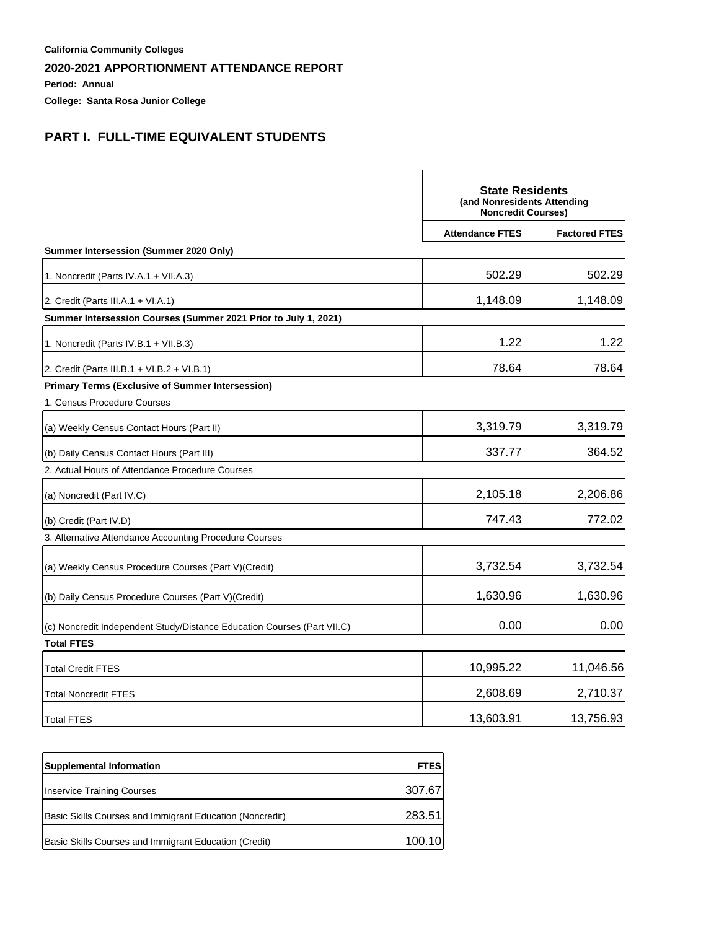**Period: Annual**

**College: Santa Rosa Junior College**

## **PART I. FULL-TIME EQUIVALENT STUDENTS**

|                                                                         | <b>State Residents</b><br>(and Nonresidents Attending<br><b>Noncredit Courses)</b> |                      |
|-------------------------------------------------------------------------|------------------------------------------------------------------------------------|----------------------|
|                                                                         | <b>Attendance FTES</b>                                                             | <b>Factored FTES</b> |
| Summer Intersession (Summer 2020 Only)                                  |                                                                                    |                      |
| 1. Noncredit (Parts IV.A.1 + VII.A.3)                                   | 502.29                                                                             | 502.29               |
| 2. Credit (Parts III.A.1 + VI.A.1)                                      | 1,148.09                                                                           | 1,148.09             |
| Summer Intersession Courses (Summer 2021 Prior to July 1, 2021)         |                                                                                    |                      |
| 1. Noncredit (Parts IV.B.1 + VII.B.3)                                   | 1.22                                                                               | 1.22                 |
| 2. Credit (Parts III.B.1 + VI.B.2 + VI.B.1)                             | 78.64                                                                              | 78.64                |
| <b>Primary Terms (Exclusive of Summer Intersession)</b>                 |                                                                                    |                      |
| 1. Census Procedure Courses                                             |                                                                                    |                      |
| (a) Weekly Census Contact Hours (Part II)                               | 3,319.79                                                                           | 3,319.79             |
| (b) Daily Census Contact Hours (Part III)                               | 337.77                                                                             | 364.52               |
| 2. Actual Hours of Attendance Procedure Courses                         |                                                                                    |                      |
| (a) Noncredit (Part IV.C)                                               | 2,105.18                                                                           | 2,206.86             |
| (b) Credit (Part IV.D)                                                  | 747.43                                                                             | 772.02               |
| 3. Alternative Attendance Accounting Procedure Courses                  |                                                                                    |                      |
| (a) Weekly Census Procedure Courses (Part V) (Credit)                   | 3,732.54                                                                           | 3,732.54             |
| (b) Daily Census Procedure Courses (Part V)(Credit)                     | 1,630.96                                                                           | 1,630.96             |
| (c) Noncredit Independent Study/Distance Education Courses (Part VII.C) | 0.00                                                                               | 0.00                 |
| <b>Total FTES</b>                                                       |                                                                                    |                      |
| <b>Total Credit FTES</b>                                                | 10,995.22                                                                          | 11,046.56            |
| <b>Total Noncredit FTES</b>                                             | 2,608.69                                                                           | 2,710.37             |
| <b>Total FTES</b>                                                       | 13,603.91                                                                          | 13,756.93            |

| <b>Supplemental Information</b>                          | <b>FTES</b> |
|----------------------------------------------------------|-------------|
| <b>Inservice Training Courses</b>                        | 307.67      |
| Basic Skills Courses and Immigrant Education (Noncredit) | 283.51      |
| Basic Skills Courses and Immigrant Education (Credit)    | 100.10      |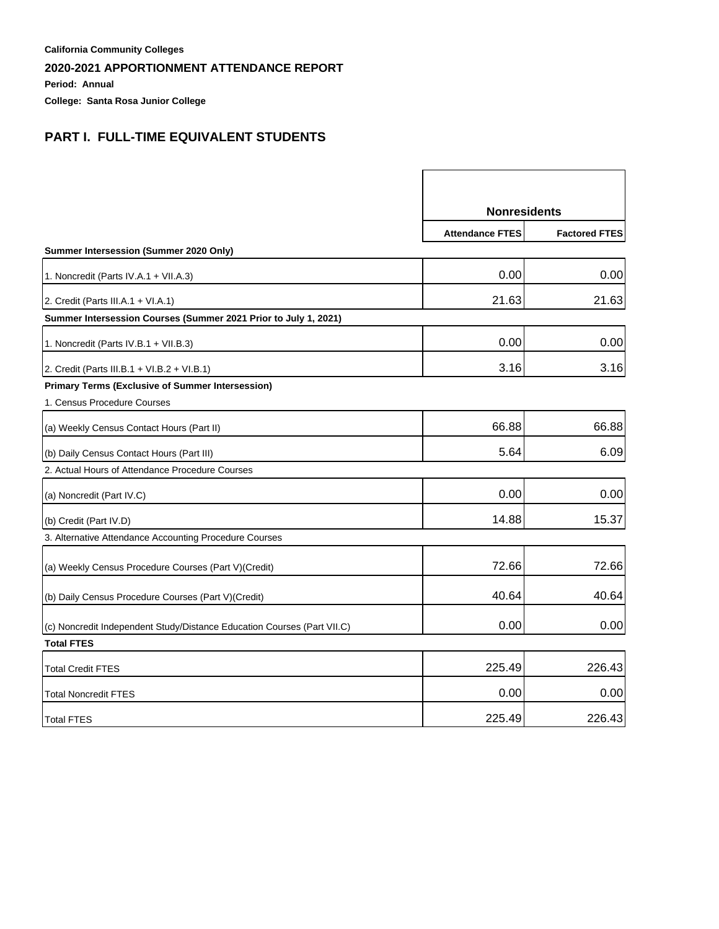**Period: Annual**

**College: Santa Rosa Junior College**

## **PART I. FULL-TIME EQUIVALENT STUDENTS**

|                                                                         | <b>Nonresidents</b>    |                      |
|-------------------------------------------------------------------------|------------------------|----------------------|
|                                                                         | <b>Attendance FTES</b> | <b>Factored FTES</b> |
| Summer Intersession (Summer 2020 Only)                                  |                        |                      |
| 1. Noncredit (Parts IV.A.1 + VII.A.3)                                   | 0.00                   | 0.00                 |
| 2. Credit (Parts III.A.1 + VI.A.1)                                      | 21.63                  | 21.63                |
| Summer Intersession Courses (Summer 2021 Prior to July 1, 2021)         |                        |                      |
| 1. Noncredit (Parts IV.B.1 + VII.B.3)                                   | 0.00                   | 0.00                 |
| 2. Credit (Parts III.B.1 + VI.B.2 + VI.B.1)                             | 3.16                   | 3.16                 |
| <b>Primary Terms (Exclusive of Summer Intersession)</b>                 |                        |                      |
| 1. Census Procedure Courses                                             |                        |                      |
| (a) Weekly Census Contact Hours (Part II)                               | 66.88                  | 66.88                |
| (b) Daily Census Contact Hours (Part III)                               | 5.64                   | 6.09                 |
| 2. Actual Hours of Attendance Procedure Courses                         |                        |                      |
| (a) Noncredit (Part IV.C)                                               | 0.00                   | 0.00                 |
| (b) Credit (Part IV.D)                                                  | 14.88                  | 15.37                |
| 3. Alternative Attendance Accounting Procedure Courses                  |                        |                      |
| (a) Weekly Census Procedure Courses (Part V)(Credit)                    | 72.66                  | 72.66                |
| (b) Daily Census Procedure Courses (Part V) (Credit)                    | 40.64                  | 40.64                |
| (c) Noncredit Independent Study/Distance Education Courses (Part VII.C) | 0.00                   | 0.00                 |
| <b>Total FTES</b>                                                       |                        |                      |
| <b>Total Credit FTES</b>                                                | 225.49                 | 226.43               |
| <b>Total Noncredit FTES</b>                                             | 0.00                   | 0.00                 |
| <b>Total FTES</b>                                                       | 225.49                 | 226.43               |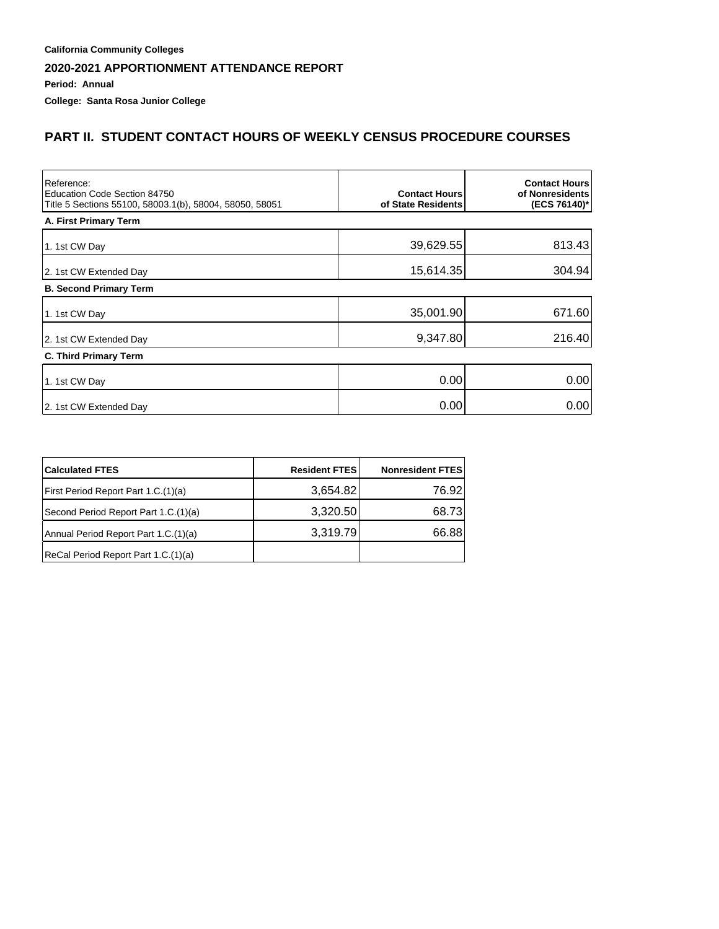**Period: Annual**

**College: Santa Rosa Junior College**

## **PART II. STUDENT CONTACT HOURS OF WEEKLY CENSUS PROCEDURE COURSES**

| Reference:<br>Education Code Section 84750<br>Title 5 Sections 55100, 58003.1(b), 58004, 58050, 58051 | <b>Contact Hours</b><br>of State Residents | <b>Contact Hours</b><br>of Nonresidents<br>(ECS 76140)* |
|-------------------------------------------------------------------------------------------------------|--------------------------------------------|---------------------------------------------------------|
| A. First Primary Term                                                                                 |                                            |                                                         |
| 1. 1st CW Day                                                                                         | 39,629.55                                  | 813.43                                                  |
| 2. 1st CW Extended Day                                                                                | 15,614.35                                  | 304.94                                                  |
| <b>B. Second Primary Term</b>                                                                         |                                            |                                                         |
| 1. 1st CW Day                                                                                         | 35,001.90                                  | 671.60                                                  |
| 2. 1st CW Extended Day                                                                                | 9,347.80                                   | 216.40                                                  |
| C. Third Primary Term                                                                                 |                                            |                                                         |
| 1. 1st CW Day                                                                                         | 0.00                                       | 0.00                                                    |
| 2. 1st CW Extended Day                                                                                | 0.00                                       | 0.00                                                    |

| <b>Calculated FTES</b>               | <b>Resident FTES</b> | <b>Nonresident FTES</b> |
|--------------------------------------|----------------------|-------------------------|
| First Period Report Part 1.C.(1)(a)  | 3,654.82             | 76.92                   |
| Second Period Report Part 1.C.(1)(a) | 3,320.50             | 68.73                   |
| Annual Period Report Part 1.C.(1)(a) | 3,319.79             | 66.88                   |
| ReCal Period Report Part 1.C.(1)(a)  |                      |                         |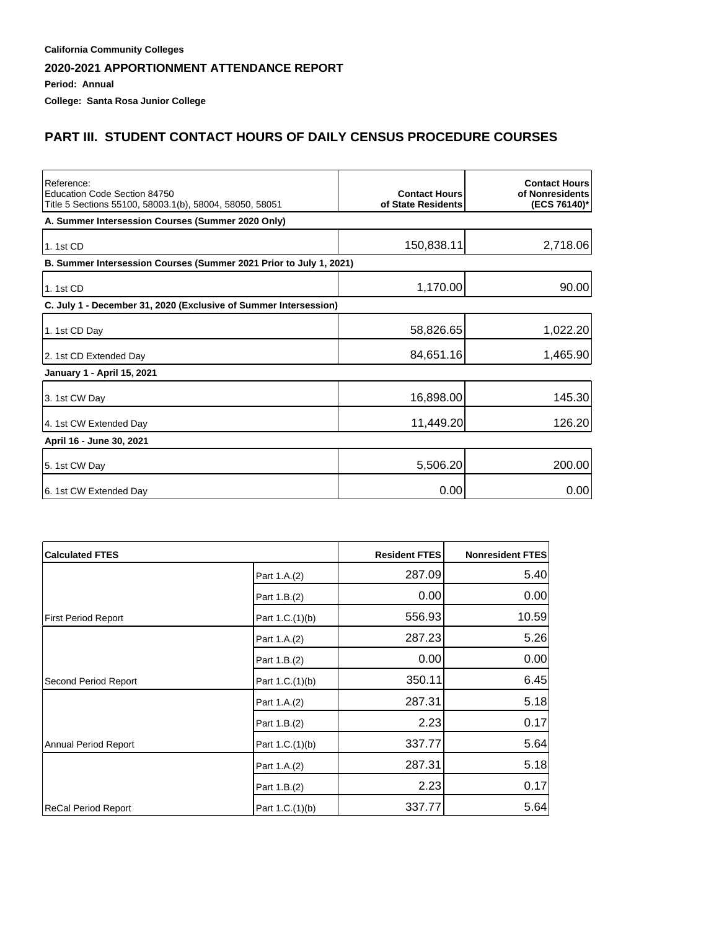**Period: Annual**

**College: Santa Rosa Junior College**

## **PART III. STUDENT CONTACT HOURS OF DAILY CENSUS PROCEDURE COURSES**

| Reference:<br>Education Code Section 84750<br>Title 5 Sections 55100, 58003.1(b), 58004, 58050, 58051 | <b>Contact Hours</b><br>of State Residents | <b>Contact Hours</b><br>of Nonresidents<br>(ECS 76140)* |
|-------------------------------------------------------------------------------------------------------|--------------------------------------------|---------------------------------------------------------|
| A. Summer Intersession Courses (Summer 2020 Only)                                                     |                                            |                                                         |
| 1.1st CD                                                                                              | 150,838.11                                 | 2,718.06                                                |
| B. Summer Intersession Courses (Summer 2021 Prior to July 1, 2021)                                    |                                            |                                                         |
| 1.1st CD                                                                                              | 1,170.00                                   | 90.00                                                   |
| C. July 1 - December 31, 2020 (Exclusive of Summer Intersession)                                      |                                            |                                                         |
| 1. 1st CD Day                                                                                         | 58,826.65                                  | 1,022.20                                                |
| 2. 1st CD Extended Day                                                                                | 84,651.16                                  | 1,465.90                                                |
| January 1 - April 15, 2021                                                                            |                                            |                                                         |
| 3. 1st CW Day                                                                                         | 16,898.00                                  | 145.30                                                  |
| 4. 1st CW Extended Day                                                                                | 11,449.20                                  | 126.20                                                  |
| April 16 - June 30, 2021                                                                              |                                            |                                                         |
| 5. 1st CW Day                                                                                         | 5,506.20                                   | 200.00                                                  |
| 6. 1st CW Extended Day                                                                                | 0.00                                       | 0.00                                                    |

| <b>Calculated FTES</b>     |                 | <b>Resident FTES</b> | <b>Nonresident FTES</b> |
|----------------------------|-----------------|----------------------|-------------------------|
|                            | Part 1.A.(2)    | 287.09               | 5.40                    |
|                            | Part 1.B.(2)    | 0.00                 | 0.00                    |
| <b>First Period Report</b> | Part 1.C.(1)(b) | 556.93               | 10.59                   |
|                            | Part 1.A.(2)    | 287.23               | 5.26                    |
|                            | Part 1.B.(2)    | 0.00                 | 0.00                    |
| Second Period Report       | Part 1.C.(1)(b) | 350.11               | 6.45                    |
|                            | Part 1.A.(2)    | 287.31               | 5.18                    |
|                            | Part 1.B.(2)    | 2.23                 | 0.17                    |
| Annual Period Report       | Part 1.C.(1)(b) | 337.77               | 5.64                    |
|                            | Part 1.A.(2)    | 287.31               | 5.18                    |
|                            | Part 1.B.(2)    | 2.23                 | 0.17                    |
| ReCal Period Report        | Part 1.C.(1)(b) | 337.77               | 5.64                    |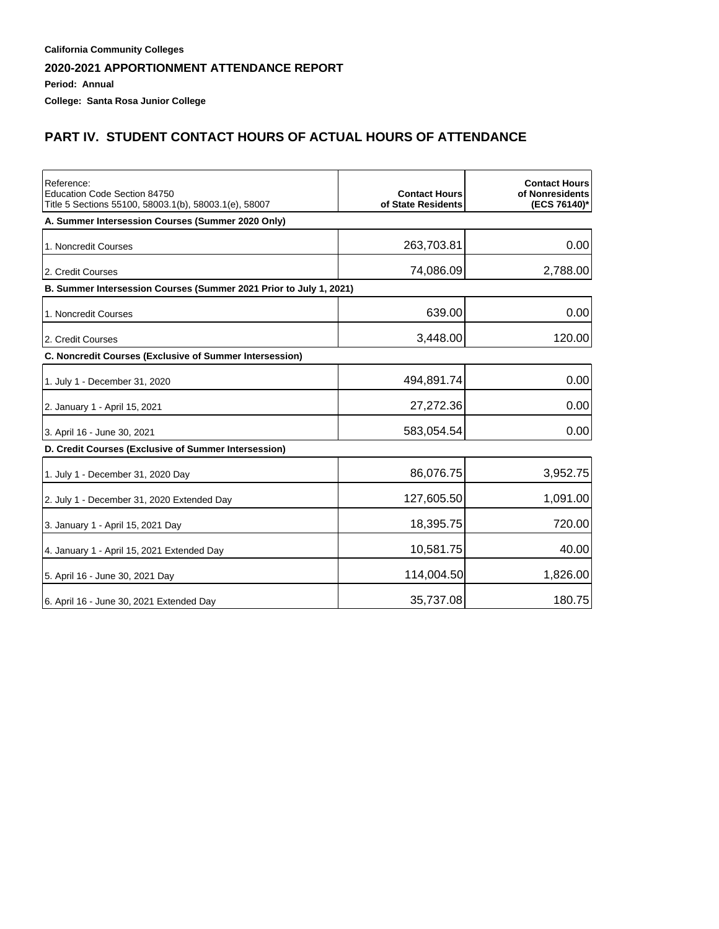**Period: Annual**

**College: Santa Rosa Junior College**

## **PART IV. STUDENT CONTACT HOURS OF ACTUAL HOURS OF ATTENDANCE**

| Reference:<br>Education Code Section 84750<br>Title 5 Sections 55100, 58003.1(b), 58003.1(e), 58007 | <b>Contact Hours</b><br>of State Residents | <b>Contact Hours</b><br>of Nonresidents<br>(ECS 76140)* |
|-----------------------------------------------------------------------------------------------------|--------------------------------------------|---------------------------------------------------------|
| A. Summer Intersession Courses (Summer 2020 Only)                                                   |                                            |                                                         |
| 1. Noncredit Courses                                                                                | 263,703.81                                 | 0.00                                                    |
| 2. Credit Courses                                                                                   | 74,086.09                                  | 2,788.00                                                |
| B. Summer Intersession Courses (Summer 2021 Prior to July 1, 2021)                                  |                                            |                                                         |
| 1. Noncredit Courses                                                                                | 639.00                                     | 0.00                                                    |
| 2. Credit Courses                                                                                   | 3,448.00                                   | 120.00                                                  |
| C. Noncredit Courses (Exclusive of Summer Intersession)                                             |                                            |                                                         |
| 1. July 1 - December 31, 2020                                                                       | 494,891.74                                 | 0.00                                                    |
| 2. January 1 - April 15, 2021                                                                       | 27,272.36                                  | 0.00                                                    |
| 3. April 16 - June 30, 2021                                                                         | 583,054.54                                 | 0.00                                                    |
| D. Credit Courses (Exclusive of Summer Intersession)                                                |                                            |                                                         |
| 1. July 1 - December 31, 2020 Day                                                                   | 86,076.75                                  | 3,952.75                                                |
| 2. July 1 - December 31, 2020 Extended Day                                                          | 127,605.50                                 | 1,091.00                                                |
| 3. January 1 - April 15, 2021 Day                                                                   | 18,395.75                                  | 720.00                                                  |
| 4. January 1 - April 15, 2021 Extended Day                                                          | 10,581.75                                  | 40.00                                                   |
| 5. April 16 - June 30, 2021 Day                                                                     | 114,004.50                                 | 1,826.00                                                |
| 6. April 16 - June 30, 2021 Extended Day                                                            | 35,737.08                                  | 180.75                                                  |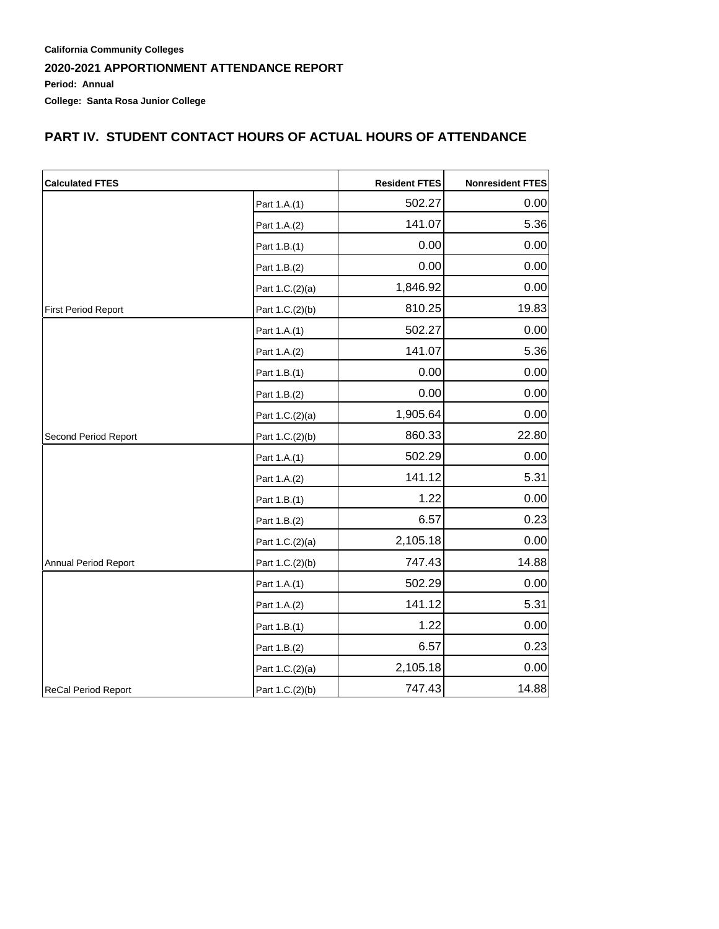## **PART IV. STUDENT CONTACT HOURS OF ACTUAL HOURS OF ATTENDANCE**

| <b>Calculated FTES</b>     |                 | <b>Resident FTES</b> | <b>Nonresident FTES</b> |
|----------------------------|-----------------|----------------------|-------------------------|
|                            | Part 1.A.(1)    | 502.27               | 0.00                    |
|                            | Part 1.A.(2)    | 141.07               | 5.36                    |
|                            | Part 1.B.(1)    | 0.00                 | 0.00                    |
|                            | Part 1.B.(2)    | 0.00                 | 0.00                    |
|                            | Part 1.C.(2)(a) | 1,846.92             | 0.00                    |
| <b>First Period Report</b> | Part 1.C.(2)(b) | 810.25               | 19.83                   |
|                            | Part 1.A.(1)    | 502.27               | 0.00                    |
|                            | Part 1.A.(2)    | 141.07               | 5.36                    |
|                            | Part 1.B.(1)    | 0.00                 | 0.00                    |
|                            | Part 1.B.(2)    | 0.00                 | 0.00                    |
|                            | Part 1.C.(2)(a) | 1,905.64             | 0.00                    |
| Second Period Report       | Part 1.C.(2)(b) | 860.33               | 22.80                   |
|                            | Part 1.A.(1)    | 502.29               | 0.00                    |
|                            | Part 1.A.(2)    | 141.12               | 5.31                    |
|                            | Part 1.B.(1)    | 1.22                 | 0.00                    |
|                            | Part 1.B.(2)    | 6.57                 | 0.23                    |
|                            | Part 1.C.(2)(a) | 2,105.18             | 0.00                    |
| Annual Period Report       | Part 1.C.(2)(b) | 747.43               | 14.88                   |
|                            | Part 1.A.(1)    | 502.29               | 0.00                    |
|                            | Part 1.A.(2)    | 141.12               | 5.31                    |
|                            | Part 1.B.(1)    | 1.22                 | 0.00                    |
|                            | Part 1.B.(2)    | 6.57                 | 0.23                    |
|                            | Part 1.C.(2)(a) | 2,105.18             | 0.00                    |
| ReCal Period Report        | Part 1.C.(2)(b) | 747.43               | 14.88                   |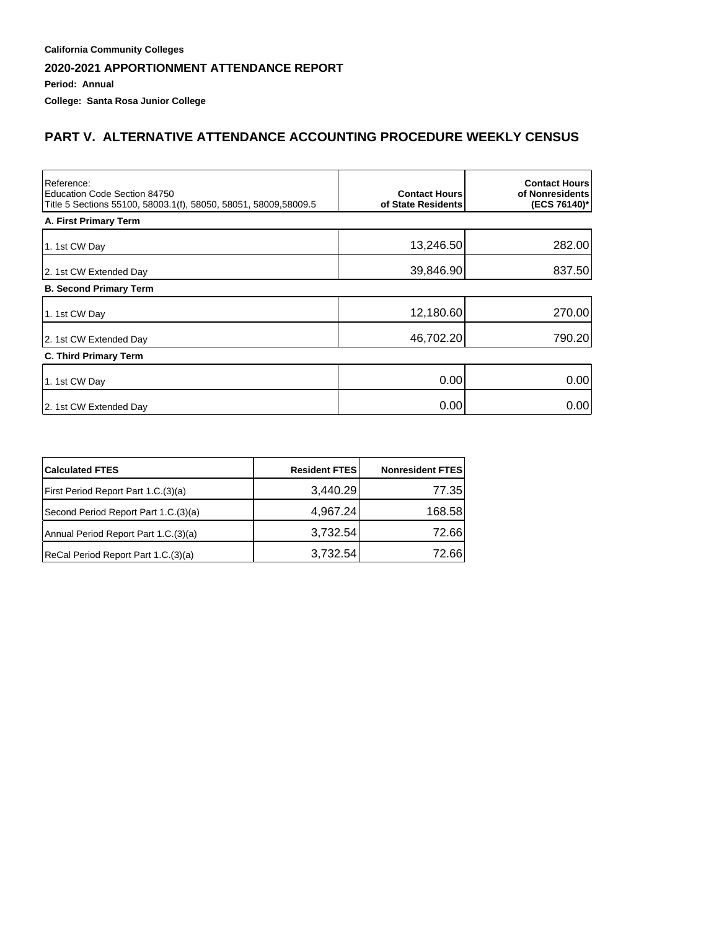**Period: Annual**

**College: Santa Rosa Junior College**

### **PART V. ALTERNATIVE ATTENDANCE ACCOUNTING PROCEDURE WEEKLY CENSUS**

| Reference:<br>Education Code Section 84750<br>Title 5 Sections 55100, 58003.1(f), 58050, 58051, 58009,58009.5 | <b>Contact Hours</b><br>of State Residents | <b>Contact Hours</b><br>of Nonresidents<br>(ECS 76140)* |
|---------------------------------------------------------------------------------------------------------------|--------------------------------------------|---------------------------------------------------------|
| A. First Primary Term                                                                                         |                                            |                                                         |
| 1. 1st CW Day                                                                                                 | 13,246.50                                  | 282.00                                                  |
| 2. 1st CW Extended Day                                                                                        | 39,846.90                                  | 837.50                                                  |
| <b>B. Second Primary Term</b>                                                                                 |                                            |                                                         |
| 1. 1st CW Day                                                                                                 | 12,180.60                                  | 270.00                                                  |
| 2. 1st CW Extended Day                                                                                        | 46,702.20                                  | 790.20                                                  |
| <b>C. Third Primary Term</b>                                                                                  |                                            |                                                         |
| 1. 1st CW Day                                                                                                 | 0.00                                       | 0.00                                                    |
| 2. 1st CW Extended Day                                                                                        | 0.00                                       | 0.00                                                    |

| <b>Calculated FTES</b>               | <b>Resident FTES</b> | <b>Nonresident FTES</b> |
|--------------------------------------|----------------------|-------------------------|
| First Period Report Part 1.C.(3)(a)  | 3,440.29             | 77.35                   |
| Second Period Report Part 1.C.(3)(a) | 4,967.24             | 168.58                  |
| Annual Period Report Part 1.C.(3)(a) | 3,732.54             | 72.66                   |
| ReCal Period Report Part 1.C.(3)(a)  | 3,732.54             | 72.66                   |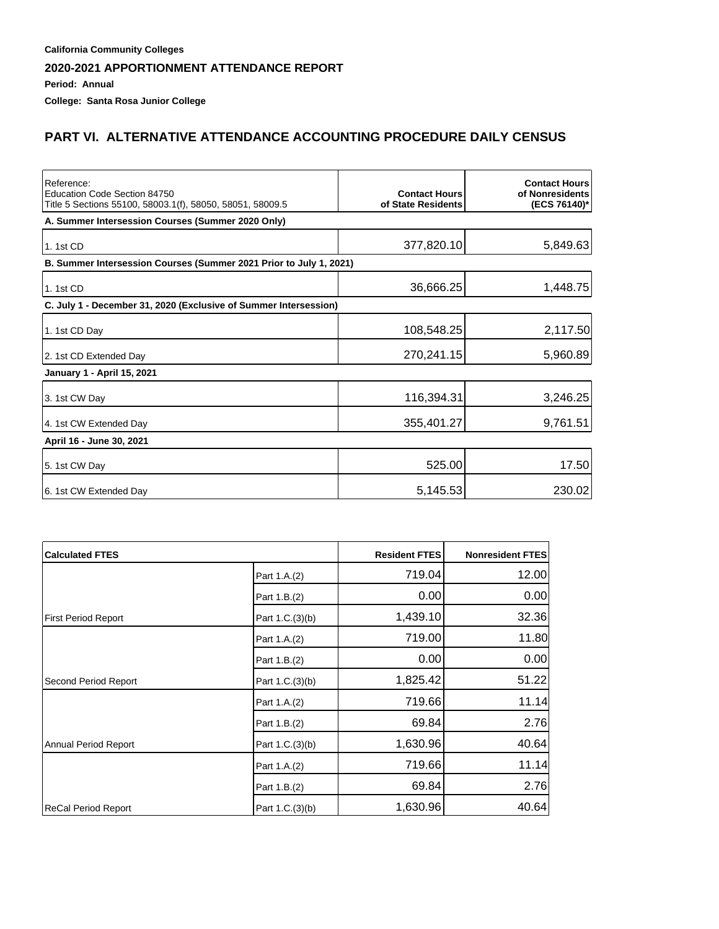**Period: Annual**

**College: Santa Rosa Junior College**

## **PART VI. ALTERNATIVE ATTENDANCE ACCOUNTING PROCEDURE DAILY CENSUS**

| Reference:<br>Education Code Section 84750<br>Title 5 Sections 55100, 58003.1(f), 58050, 58051, 58009.5 | <b>Contact Hours</b><br>of State Residents | <b>Contact Hours</b><br>of Nonresidents<br>(ECS 76140)* |
|---------------------------------------------------------------------------------------------------------|--------------------------------------------|---------------------------------------------------------|
| A. Summer Intersession Courses (Summer 2020 Only)                                                       |                                            |                                                         |
| 1.1st CD                                                                                                | 377,820.10                                 | 5,849.63                                                |
| B. Summer Intersession Courses (Summer 2021 Prior to July 1, 2021)                                      |                                            |                                                         |
| 1.1st CD                                                                                                | 36,666.25                                  | 1,448.75                                                |
| C. July 1 - December 31, 2020 (Exclusive of Summer Intersession)                                        |                                            |                                                         |
| 1. 1st CD Day                                                                                           | 108,548.25                                 | 2,117.50                                                |
| 2. 1st CD Extended Day                                                                                  | 270,241.15                                 | 5,960.89                                                |
| January 1 - April 15, 2021                                                                              |                                            |                                                         |
| 3. 1st CW Day                                                                                           | 116,394.31                                 | 3,246.25                                                |
| 4. 1st CW Extended Day                                                                                  | 355,401.27                                 | 9,761.51                                                |
| April 16 - June 30, 2021                                                                                |                                            |                                                         |
| 5. 1st CW Day                                                                                           | 525.00                                     | 17.50                                                   |
| 6. 1st CW Extended Day                                                                                  | 5,145.53                                   | 230.02                                                  |

| <b>Calculated FTES</b>     |                 | <b>Resident FTES</b> | Nonresident FTES |
|----------------------------|-----------------|----------------------|------------------|
|                            | Part 1.A.(2)    | 719.04               | 12.00            |
|                            | Part 1.B.(2)    | 0.00                 | 0.00             |
| <b>First Period Report</b> | Part 1.C.(3)(b) | 1,439.10             | 32.36            |
|                            | Part 1.A.(2)    | 719.00               | 11.80            |
|                            | Part 1.B.(2)    | 0.00                 | 0.00             |
| Second Period Report       | Part 1.C.(3)(b) | 1,825.42             | 51.22            |
|                            | Part 1.A.(2)    | 719.66               | 11.14            |
|                            | Part 1.B.(2)    | 69.84                | 2.76             |
| Annual Period Report       | Part 1.C.(3)(b) | 1,630.96             | 40.64            |
|                            | Part 1.A.(2)    | 719.66               | 11.14            |
|                            | Part 1.B.(2)    | 69.84                | 2.76             |
| ReCal Period Report        | Part 1.C.(3)(b) | 1,630.96             | 40.64            |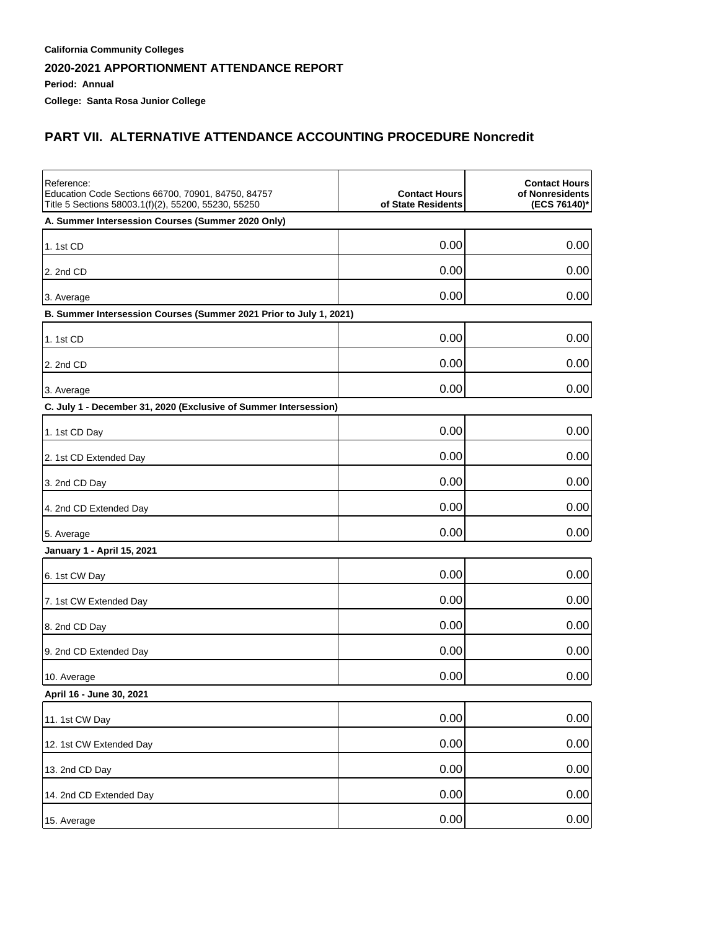**Period: Annual**

**College: Santa Rosa Junior College**

## **PART VII. ALTERNATIVE ATTENDANCE ACCOUNTING PROCEDURE Noncredit**

| Reference:<br>Education Code Sections 66700, 70901, 84750, 84757<br>Title 5 Sections 58003.1(f)(2), 55200, 55230, 55250 | <b>Contact Hours</b><br>of State Residents | <b>Contact Hours</b><br>of Nonresidents<br>(ECS 76140)* |
|-------------------------------------------------------------------------------------------------------------------------|--------------------------------------------|---------------------------------------------------------|
| A. Summer Intersession Courses (Summer 2020 Only)                                                                       |                                            |                                                         |
| 1. 1st CD                                                                                                               | 0.00                                       | 0.00                                                    |
| 2. 2nd CD                                                                                                               | 0.00                                       | 0.00                                                    |
| 3. Average                                                                                                              | 0.00                                       | 0.00                                                    |
| B. Summer Intersession Courses (Summer 2021 Prior to July 1, 2021)                                                      |                                            |                                                         |
| 1. 1st CD                                                                                                               | 0.00                                       | 0.00                                                    |
| 2. 2nd CD                                                                                                               | 0.00                                       | 0.00                                                    |
| 3. Average                                                                                                              | 0.00                                       | 0.00                                                    |
| C. July 1 - December 31, 2020 (Exclusive of Summer Intersession)                                                        |                                            |                                                         |
| 1. 1st CD Day                                                                                                           | 0.00                                       | 0.00                                                    |
| 2. 1st CD Extended Day                                                                                                  | 0.00                                       | 0.00                                                    |
| 3. 2nd CD Day                                                                                                           | 0.00                                       | 0.00                                                    |
| 4. 2nd CD Extended Day                                                                                                  | 0.00                                       | 0.00                                                    |
| 5. Average                                                                                                              | 0.00                                       | 0.00                                                    |
| January 1 - April 15, 2021                                                                                              |                                            |                                                         |
| 6. 1st CW Day                                                                                                           | 0.00                                       | 0.00                                                    |
| 7. 1st CW Extended Day                                                                                                  | 0.00                                       | 0.00                                                    |
| 8. 2nd CD Day                                                                                                           | 0.00                                       | 0.00                                                    |
| 9. 2nd CD Extended Day                                                                                                  | 0.00                                       | 0.00                                                    |
| 10. Average                                                                                                             | 0.00                                       | 0.00                                                    |
| April 16 - June 30, 2021                                                                                                |                                            |                                                         |
| 11. 1st CW Day                                                                                                          | 0.00                                       | 0.00                                                    |
| 12. 1st CW Extended Day                                                                                                 | 0.00                                       | 0.00                                                    |
| 13. 2nd CD Day                                                                                                          | 0.00                                       | 0.00                                                    |
| 14. 2nd CD Extended Day                                                                                                 | 0.00                                       | 0.00                                                    |
| 15. Average                                                                                                             | 0.00                                       | 0.00                                                    |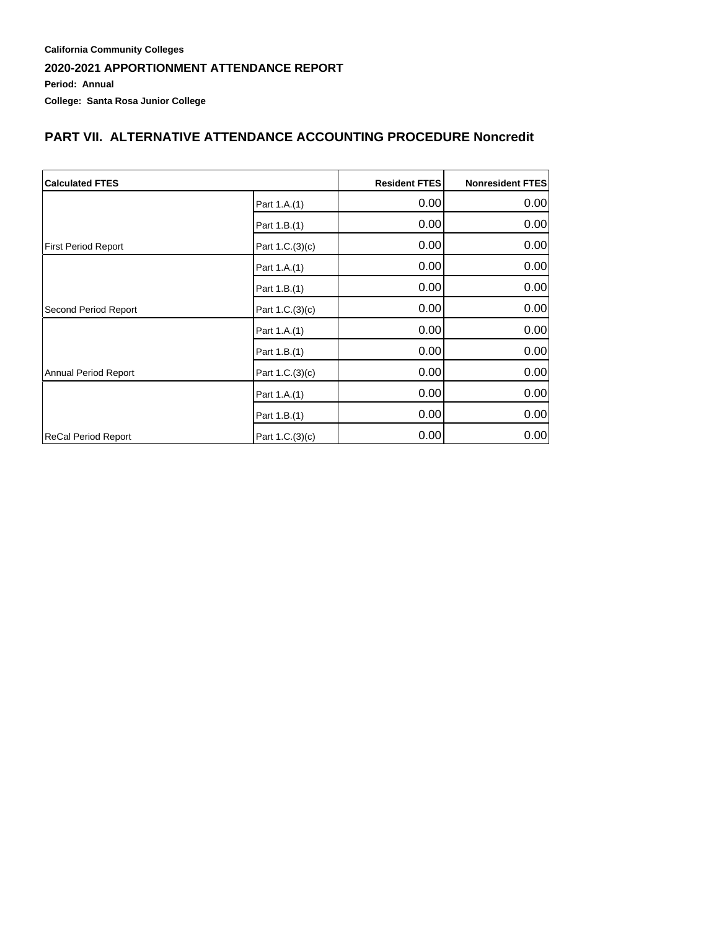#### **California Community Colleges 2020-2021 APPORTIONMENT ATTENDANCE REPORT Period: Annual College: Santa Rosa Junior College**

### **PART VII. ALTERNATIVE ATTENDANCE ACCOUNTING PROCEDURE Noncredit**

| <b>Calculated FTES</b>     |                 | <b>Resident FTES</b> | <b>Nonresident FTES</b> |
|----------------------------|-----------------|----------------------|-------------------------|
|                            | Part 1.A.(1)    | 0.00                 | 0.00                    |
|                            | Part 1.B.(1)    | 0.00                 | 0.00                    |
| <b>First Period Report</b> | Part 1.C.(3)(c) | 0.00                 | 0.00                    |
|                            | Part 1.A.(1)    | 0.00                 | 0.00                    |
|                            | Part 1.B.(1)    | 0.00                 | 0.00                    |
| Second Period Report       | Part 1.C.(3)(c) | 0.00                 | 0.00                    |
|                            | Part 1.A.(1)    | 0.00                 | 0.00                    |
|                            | Part 1.B.(1)    | 0.00                 | 0.00                    |
| Annual Period Report       | Part 1.C.(3)(c) | 0.00                 | 0.00                    |
|                            | Part 1.A.(1)    | 0.00                 | 0.00                    |
|                            | Part 1.B.(1)    | 0.00                 | 0.00                    |
| ReCal Period Report        | Part 1.C.(3)(c) | 0.00                 | 0.00                    |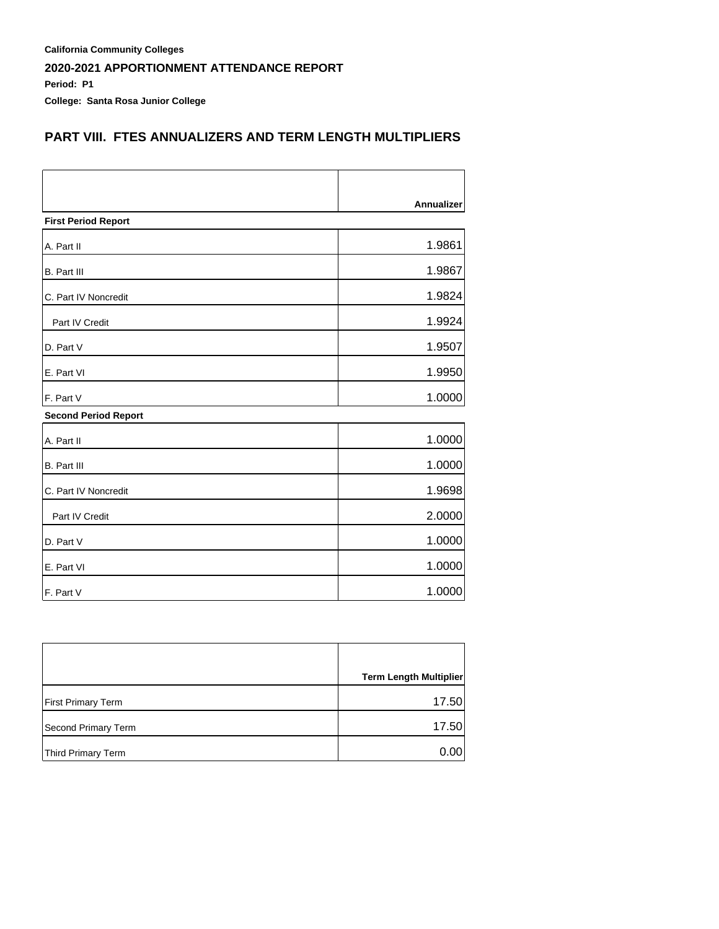**California Community Colleges 2020-2021 APPORTIONMENT ATTENDANCE REPORT Period: P1**

**College: Santa Rosa Junior College**

## **PART VIII. FTES ANNUALIZERS AND TERM LENGTH MULTIPLIERS**

|                             | <b>Annualizer</b> |
|-----------------------------|-------------------|
| <b>First Period Report</b>  |                   |
| A. Part II                  | 1.9861            |
| B. Part III                 | 1.9867            |
| C. Part IV Noncredit        | 1.9824            |
| Part IV Credit              | 1.9924            |
| D. Part V                   | 1.9507            |
| E. Part VI                  | 1.9950            |
| F. Part V                   | 1.0000            |
| <b>Second Period Report</b> |                   |
| A. Part II                  | 1.0000            |
| <b>B.</b> Part III          | 1.0000            |
| C. Part IV Noncredit        | 1.9698            |
| Part IV Credit              | 2.0000            |
| D. Part V                   | 1.0000            |
| E. Part VI                  | 1.0000            |
| F. Part V                   | 1.0000            |

|                           | <b>Term Length Multiplier</b> |
|---------------------------|-------------------------------|
| <b>First Primary Term</b> | 17.50                         |
| Second Primary Term       | 17.50                         |
| Third Primary Term        | 0.001                         |